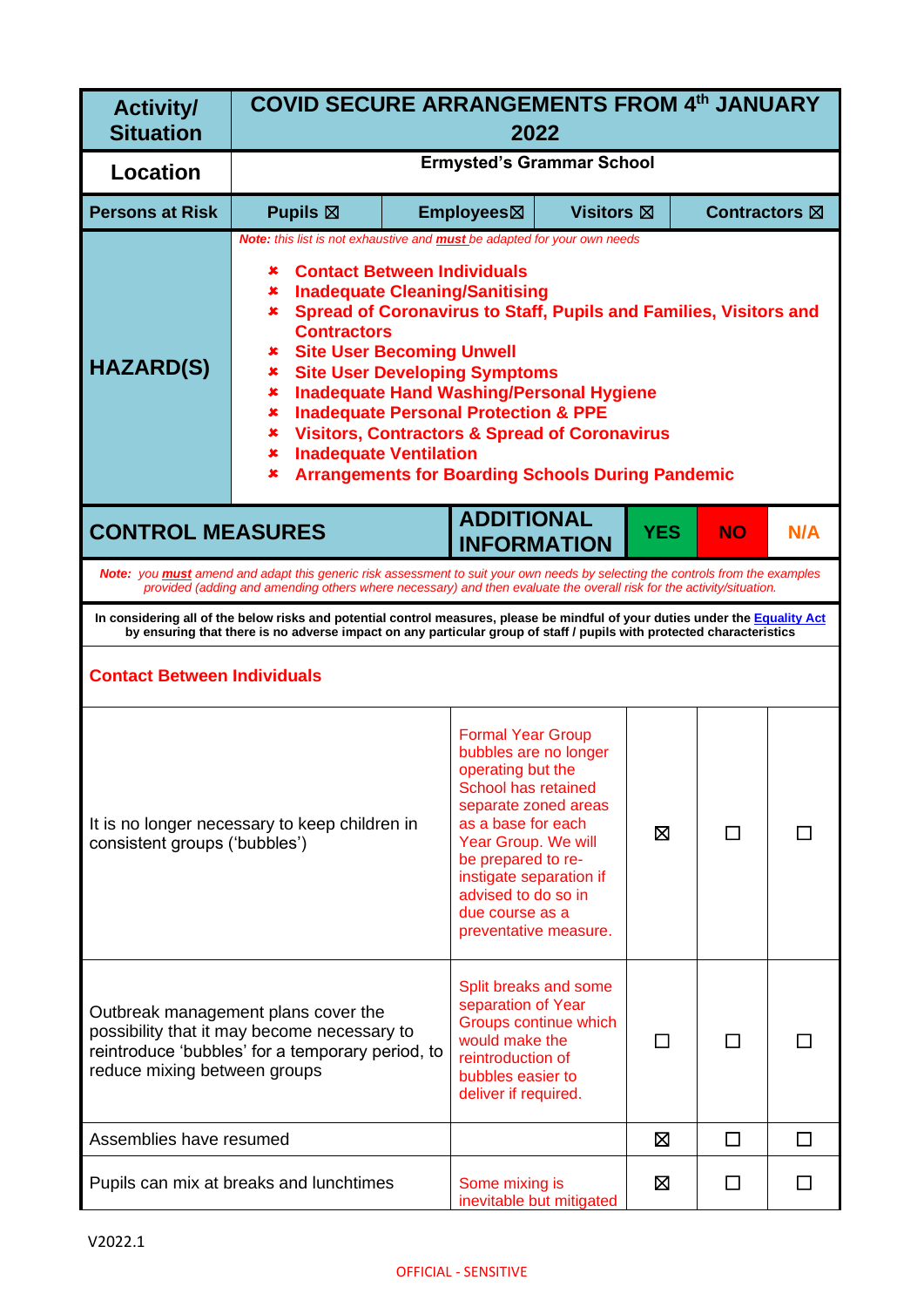| <b>Activity/</b><br><b>Situation</b> | <b>COVID SECURE ARRANGEMENTS FROM 4th JANUARY</b><br>2022                                                                                                                                                                                                                                                                                                                                                                                                                                                                                                                                                                                              |  |                                                                                                                                                                                                                                                                                        |                                  |            |               |     |
|--------------------------------------|--------------------------------------------------------------------------------------------------------------------------------------------------------------------------------------------------------------------------------------------------------------------------------------------------------------------------------------------------------------------------------------------------------------------------------------------------------------------------------------------------------------------------------------------------------------------------------------------------------------------------------------------------------|--|----------------------------------------------------------------------------------------------------------------------------------------------------------------------------------------------------------------------------------------------------------------------------------------|----------------------------------|------------|---------------|-----|
| <b>Location</b>                      |                                                                                                                                                                                                                                                                                                                                                                                                                                                                                                                                                                                                                                                        |  |                                                                                                                                                                                                                                                                                        | <b>Ermysted's Grammar School</b> |            |               |     |
| <b>Persons at Risk</b>               | Pupils $\boxtimes$                                                                                                                                                                                                                                                                                                                                                                                                                                                                                                                                                                                                                                     |  | Employees⊠                                                                                                                                                                                                                                                                             | <b>Visitors</b> ⊠                |            | Contractors ⊠ |     |
| <b>HAZARD(S)</b>                     | Note: this list is not exhaustive and <b>must</b> be adapted for your own needs<br><b>Contact Between Individuals</b><br>×<br><b>Inadequate Cleaning/Sanitising</b><br>×<br>Spread of Coronavirus to Staff, Pupils and Families, Visitors and<br>×<br><b>Contractors</b><br><b>Site User Becoming Unwell</b><br>x<br><b>Site User Developing Symptoms</b><br>×<br><b>Inadequate Hand Washing/Personal Hygiene</b><br>×<br><b>Inadequate Personal Protection &amp; PPE</b><br>×<br><b>Visitors, Contractors &amp; Spread of Coronavirus</b><br>×<br><b>Inadequate Ventilation</b><br>×<br><b>Arrangements for Boarding Schools During Pandemic</b><br>× |  |                                                                                                                                                                                                                                                                                        |                                  |            |               |     |
| <b>CONTROL MEASURES</b>              |                                                                                                                                                                                                                                                                                                                                                                                                                                                                                                                                                                                                                                                        |  | <b>ADDITIONAL</b><br><b>INFORMATION</b>                                                                                                                                                                                                                                                |                                  | <b>YES</b> | <b>NO</b>     | N/A |
|                                      | Note: you <b>must</b> amend and adapt this generic risk assessment to suit your own needs by selecting the controls from the examples<br>provided (adding and amending others where necessary) and then evaluate the overall risk for the activity/situation.                                                                                                                                                                                                                                                                                                                                                                                          |  |                                                                                                                                                                                                                                                                                        |                                  |            |               |     |
|                                      | In considering all of the below risks and potential control measures, please be mindful of your duties under the Equality Act<br>by ensuring that there is no adverse impact on any particular group of staff / pupils with protected characteristics                                                                                                                                                                                                                                                                                                                                                                                                  |  |                                                                                                                                                                                                                                                                                        |                                  |            |               |     |
| <b>Contact Between Individuals</b>   |                                                                                                                                                                                                                                                                                                                                                                                                                                                                                                                                                                                                                                                        |  |                                                                                                                                                                                                                                                                                        |                                  |            |               |     |
| consistent groups ('bubbles')        | It is no longer necessary to keep children in                                                                                                                                                                                                                                                                                                                                                                                                                                                                                                                                                                                                          |  | <b>Formal Year Group</b><br>bubbles are no longer<br>operating but the<br>School has retained<br>separate zoned areas<br>as a base for each<br>Year Group. We will<br>be prepared to re-<br>instigate separation if<br>advised to do so in<br>due course as a<br>preventative measure. |                                  | ⊠          | ΙI            |     |
| reduce mixing between groups         | Outbreak management plans cover the<br>possibility that it may become necessary to<br>reintroduce 'bubbles' for a temporary period, to                                                                                                                                                                                                                                                                                                                                                                                                                                                                                                                 |  | Split breaks and some<br>separation of Year<br>would make the<br>reintroduction of<br>bubbles easier to<br>deliver if required.                                                                                                                                                        | Groups continue which            | П          | ΙI            |     |
| Assemblies have resumed              |                                                                                                                                                                                                                                                                                                                                                                                                                                                                                                                                                                                                                                                        |  |                                                                                                                                                                                                                                                                                        |                                  | ⊠          | □             | П   |
|                                      | Pupils can mix at breaks and lunchtimes                                                                                                                                                                                                                                                                                                                                                                                                                                                                                                                                                                                                                |  | Some mixing is                                                                                                                                                                                                                                                                         | inevitable but mitigated         | ⊠          | $\mathsf{L}$  |     |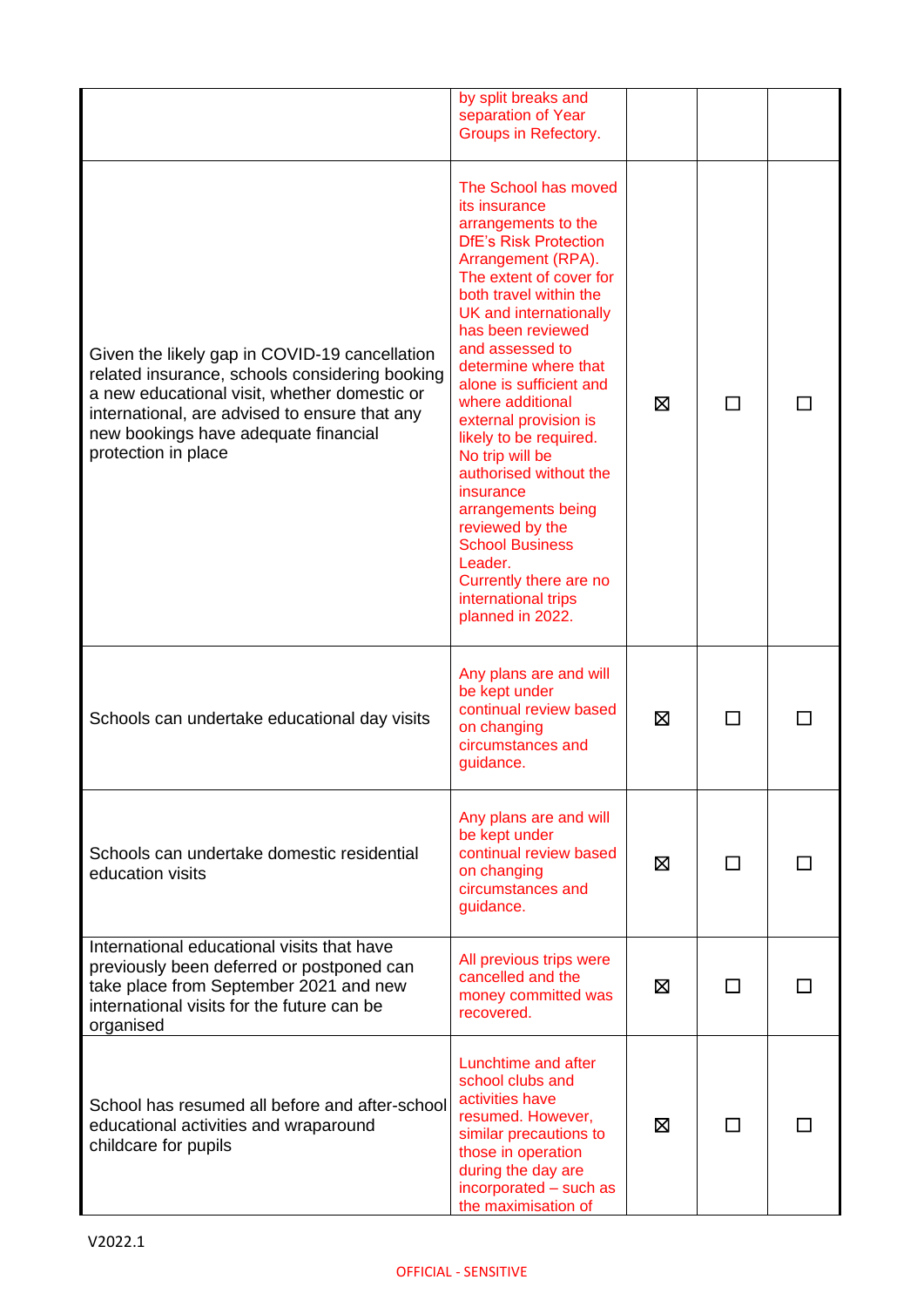|                                                                                                                                                                                                                                                                 | by split breaks and<br>separation of Year<br>Groups in Refectory.                                                                                                                                                                                                                                                                                                                                                                                                                                                                                                                |   |    |  |
|-----------------------------------------------------------------------------------------------------------------------------------------------------------------------------------------------------------------------------------------------------------------|----------------------------------------------------------------------------------------------------------------------------------------------------------------------------------------------------------------------------------------------------------------------------------------------------------------------------------------------------------------------------------------------------------------------------------------------------------------------------------------------------------------------------------------------------------------------------------|---|----|--|
| Given the likely gap in COVID-19 cancellation<br>related insurance, schools considering booking<br>a new educational visit, whether domestic or<br>international, are advised to ensure that any<br>new bookings have adequate financial<br>protection in place | The School has moved<br>its insurance<br>arrangements to the<br><b>DfE's Risk Protection</b><br>Arrangement (RPA).<br>The extent of cover for<br>both travel within the<br>UK and internationally<br>has been reviewed<br>and assessed to<br>determine where that<br>alone is sufficient and<br>where additional<br>external provision is<br>likely to be required.<br>No trip will be<br>authorised without the<br>insurance<br>arrangements being<br>reviewed by the<br><b>School Business</b><br>Leader.<br>Currently there are no<br>international trips<br>planned in 2022. | ⊠ | ΙI |  |
| Schools can undertake educational day visits                                                                                                                                                                                                                    | Any plans are and will<br>be kept under<br>continual review based<br>on changing<br>circumstances and<br>guidance.                                                                                                                                                                                                                                                                                                                                                                                                                                                               | ⊠ |    |  |
| Schools can undertake domestic residential<br>education visits                                                                                                                                                                                                  | Any plans are and will<br>be kept under<br>continual review based<br>on changing<br>circumstances and<br>guidance.                                                                                                                                                                                                                                                                                                                                                                                                                                                               | ⊠ | ΙI |  |
| International educational visits that have<br>previously been deferred or postponed can<br>take place from September 2021 and new<br>international visits for the future can be<br>organised                                                                    | All previous trips were<br>cancelled and the<br>money committed was<br>recovered.                                                                                                                                                                                                                                                                                                                                                                                                                                                                                                | ⊠ |    |  |
| School has resumed all before and after-school<br>educational activities and wraparound<br>childcare for pupils                                                                                                                                                 | Lunchtime and after<br>school clubs and<br>activities have<br>resumed. However,<br>similar precautions to<br>those in operation<br>during the day are<br>incorporated - such as<br>the maximisation of                                                                                                                                                                                                                                                                                                                                                                           | ⊠ |    |  |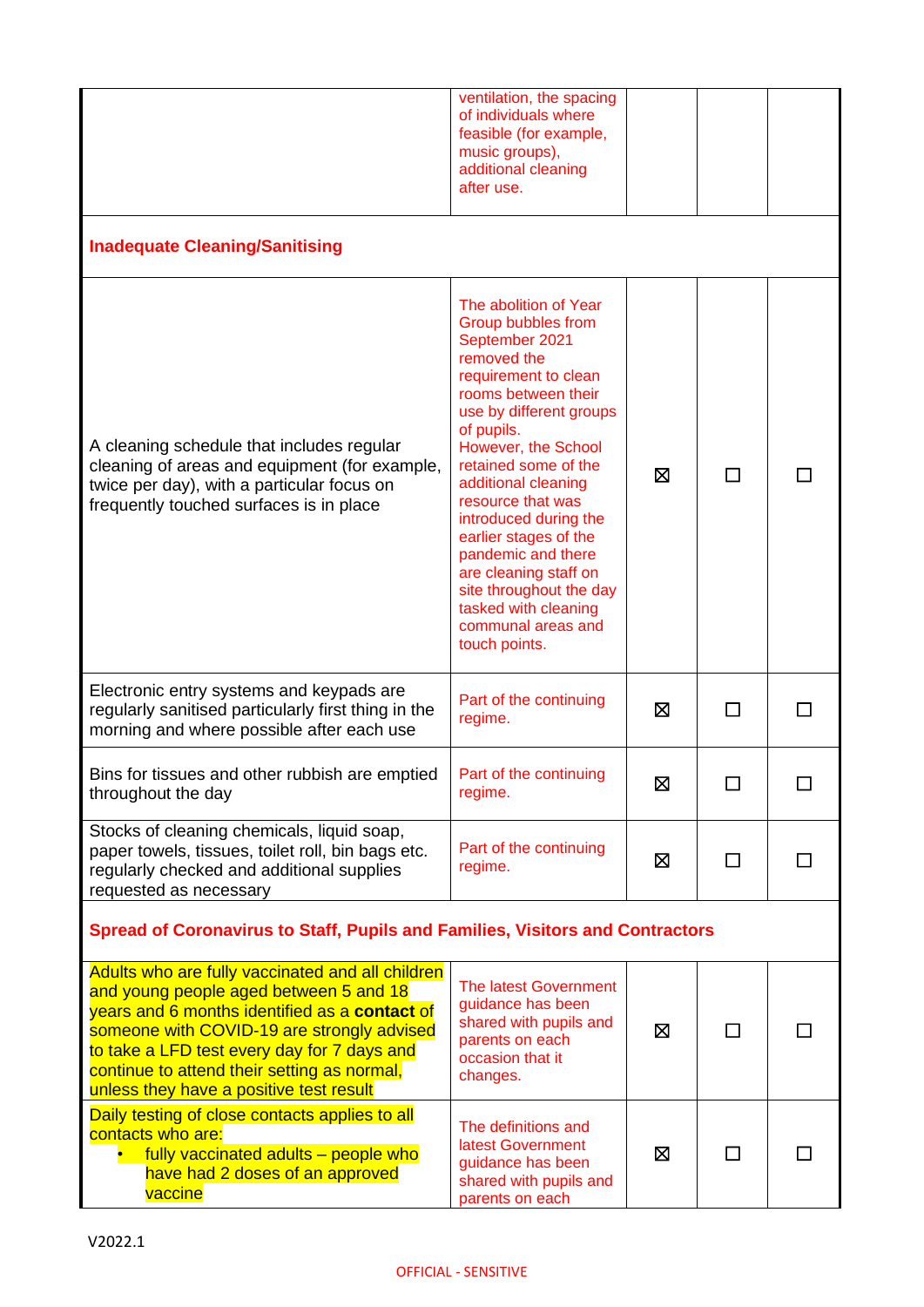|                                                                                                                                                                                                                                                                                                                                    | ventilation, the spacing<br>of individuals where<br>feasible (for example,<br>music groups),<br>additional cleaning<br>after use.                                                                                                                                                                                                                                                                                                                          |   |   |  |
|------------------------------------------------------------------------------------------------------------------------------------------------------------------------------------------------------------------------------------------------------------------------------------------------------------------------------------|------------------------------------------------------------------------------------------------------------------------------------------------------------------------------------------------------------------------------------------------------------------------------------------------------------------------------------------------------------------------------------------------------------------------------------------------------------|---|---|--|
| <b>Inadequate Cleaning/Sanitising</b>                                                                                                                                                                                                                                                                                              |                                                                                                                                                                                                                                                                                                                                                                                                                                                            |   |   |  |
| A cleaning schedule that includes regular<br>cleaning of areas and equipment (for example,<br>twice per day), with a particular focus on<br>frequently touched surfaces is in place                                                                                                                                                | The abolition of Year<br>Group bubbles from<br>September 2021<br>removed the<br>requirement to clean<br>rooms between their<br>use by different groups<br>of pupils.<br>However, the School<br>retained some of the<br>additional cleaning<br>resource that was<br>introduced during the<br>earlier stages of the<br>pandemic and there<br>are cleaning staff on<br>site throughout the day<br>tasked with cleaning<br>communal areas and<br>touch points. | ⊠ |   |  |
| Electronic entry systems and keypads are<br>regularly sanitised particularly first thing in the<br>morning and where possible after each use                                                                                                                                                                                       | Part of the continuing<br>regime.                                                                                                                                                                                                                                                                                                                                                                                                                          | ⊠ | □ |  |
| Bins for tissues and other rubbish are emptied<br>throughout the day                                                                                                                                                                                                                                                               | Part of the continuing<br>regime.                                                                                                                                                                                                                                                                                                                                                                                                                          | Ø |   |  |
| Stocks of cleaning chemicals, liquid soap,<br>paper towels, tissues, toilet roll, bin bags etc.<br>regularly checked and additional supplies<br>requested as necessary                                                                                                                                                             | Part of the continuing<br>regime.                                                                                                                                                                                                                                                                                                                                                                                                                          | ⊠ | П |  |
| Spread of Coronavirus to Staff, Pupils and Families, Visitors and Contractors                                                                                                                                                                                                                                                      |                                                                                                                                                                                                                                                                                                                                                                                                                                                            |   |   |  |
| Adults who are fully vaccinated and all children<br>and young people aged between 5 and 18<br>years and 6 months identified as a contact of<br>someone with COVID-19 are strongly advised<br>to take a LFD test every day for 7 days and<br>continue to attend their setting as normal,<br>unless they have a positive test result | <b>The latest Government</b><br>guidance has been<br>shared with pupils and<br>parents on each<br>occasion that it<br>changes.                                                                                                                                                                                                                                                                                                                             | 区 | П |  |
| Daily testing of close contacts applies to all<br>contacts who are:<br>fully vaccinated adults - people who<br>have had 2 doses of an approved<br>vaccine                                                                                                                                                                          | The definitions and<br>latest Government<br>guidance has been<br>shared with pupils and<br>parents on each                                                                                                                                                                                                                                                                                                                                                 | ⊠ |   |  |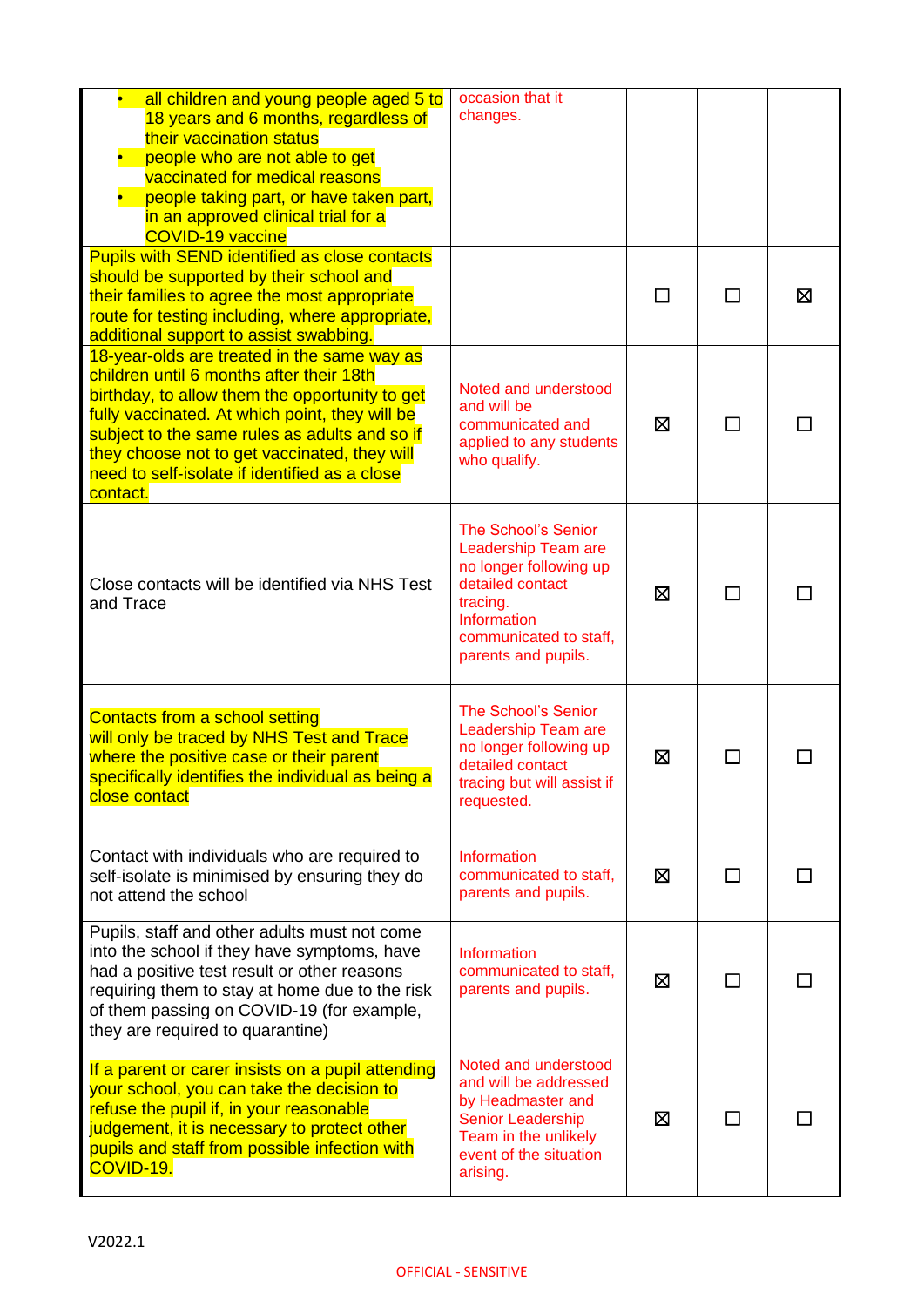| all children and young people aged 5 to<br>18 years and 6 months, regardless of<br>their vaccination status<br>people who are not able to get<br>vaccinated for medical reasons<br>people taking part, or have taken part,<br>in an approved clinical trial for a<br><b>COVID-19 vaccine</b>                                                              | occasion that it<br>changes.                                                                                                                                                |    |          |   |
|-----------------------------------------------------------------------------------------------------------------------------------------------------------------------------------------------------------------------------------------------------------------------------------------------------------------------------------------------------------|-----------------------------------------------------------------------------------------------------------------------------------------------------------------------------|----|----------|---|
| <b>Pupils with SEND identified as close contacts</b><br>should be supported by their school and<br>their families to agree the most appropriate<br>route for testing including, where appropriate,<br>additional support to assist swabbing.                                                                                                              |                                                                                                                                                                             | ΙI | <b>I</b> | Σ |
| 18-year-olds are treated in the same way as<br>children until 6 months after their 18th<br>birthday, to allow them the opportunity to get<br>fully vaccinated. At which point, they will be<br>subject to the same rules as adults and so if<br>they choose not to get vaccinated, they will<br>need to self-isolate if identified as a close<br>contact. | Noted and understood<br>and will be<br>communicated and<br>applied to any students<br>who qualify.                                                                          | ⊠  | $\Box$   |   |
| Close contacts will be identified via NHS Test<br>and Trace                                                                                                                                                                                                                                                                                               | <b>The School's Senior</b><br>Leadership Team are<br>no longer following up<br>detailed contact<br>tracing.<br>Information<br>communicated to staff,<br>parents and pupils. | ⊠  | П        |   |
| Contacts from a school setting<br>will only be traced by NHS Test and Trace<br>where the positive case or their parent<br>specifically identifies the individual as being a<br>close contact                                                                                                                                                              | <b>The School's Senior</b><br>Leadership Team are<br>no longer following up<br>detailed contact<br>tracing but will assist if<br>requested.                                 | ⊠  |          |   |
| Contact with individuals who are required to<br>self-isolate is minimised by ensuring they do<br>not attend the school                                                                                                                                                                                                                                    | Information<br>communicated to staff,<br>parents and pupils.                                                                                                                | ⊠  |          |   |
| Pupils, staff and other adults must not come<br>into the school if they have symptoms, have<br>had a positive test result or other reasons<br>requiring them to stay at home due to the risk<br>of them passing on COVID-19 (for example,<br>they are required to quarantine)                                                                             | Information<br>communicated to staff,<br>parents and pupils.                                                                                                                | ⊠  | ΙI       |   |
| If a parent or carer insists on a pupil attending<br>your school, you can take the decision to<br>refuse the pupil if, in your reasonable<br>judgement, it is necessary to protect other<br>pupils and staff from possible infection with<br>COVID-19.                                                                                                    | Noted and understood<br>and will be addressed<br>by Headmaster and<br><b>Senior Leadership</b><br>Team in the unlikely<br>event of the situation<br>arising.                | ⊠  |          |   |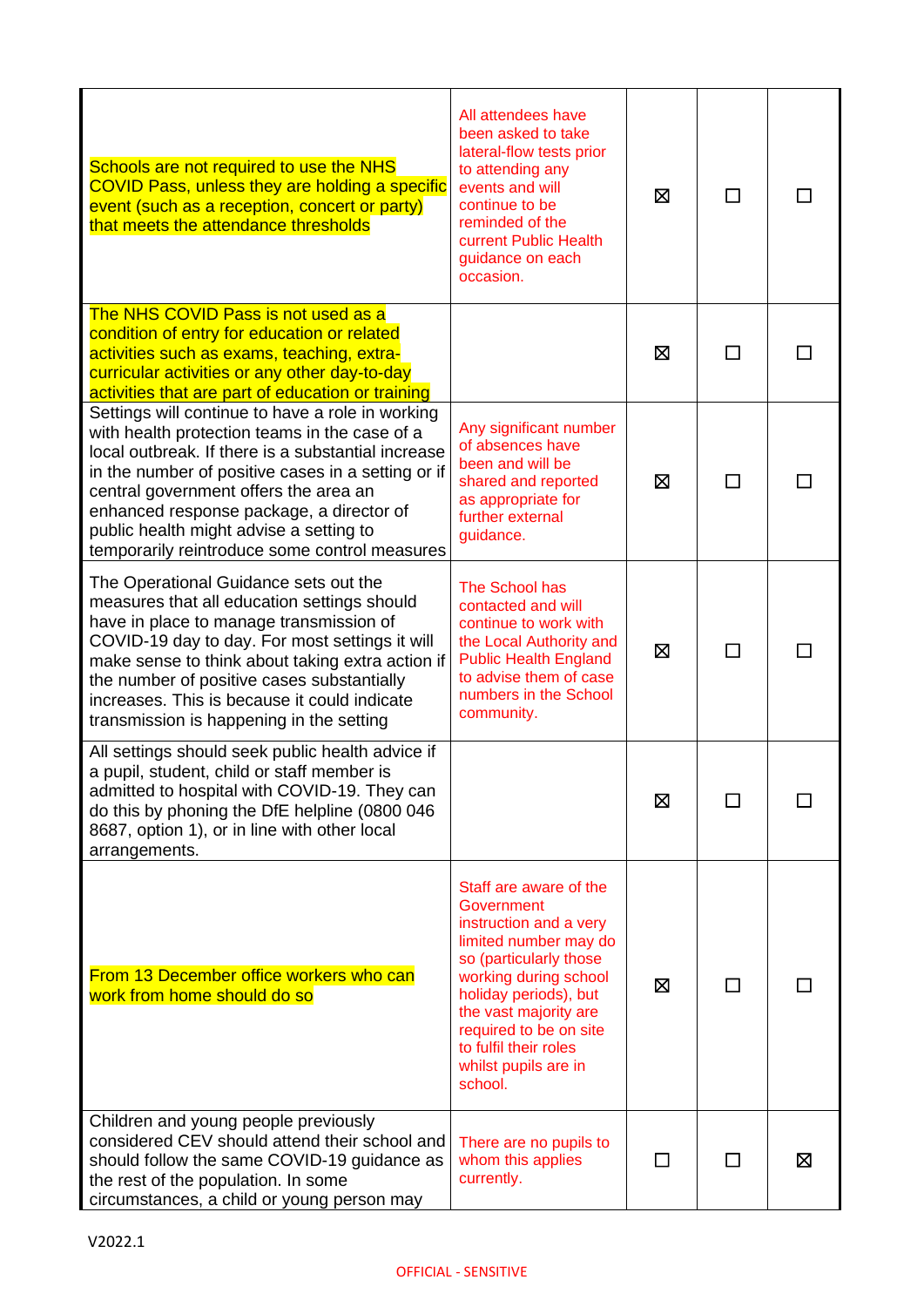| Schools are not required to use the NHS<br>COVID Pass, unless they are holding a specific<br>event (such as a reception, concert or party)<br>that meets the attendance thresholds                                                                                                                                                                                                             | All attendees have<br>been asked to take<br>lateral-flow tests prior<br>to attending any<br>events and will<br>continue to be<br>reminded of the<br>current Public Health<br>guidance on each<br>occasion.                                                                         | ⊠ | П            |   |
|------------------------------------------------------------------------------------------------------------------------------------------------------------------------------------------------------------------------------------------------------------------------------------------------------------------------------------------------------------------------------------------------|------------------------------------------------------------------------------------------------------------------------------------------------------------------------------------------------------------------------------------------------------------------------------------|---|--------------|---|
| The NHS COVID Pass is not used as a<br>condition of entry for education or related<br>activities such as exams, teaching, extra-<br>curricular activities or any other day-to-day<br>activities that are part of education or training                                                                                                                                                         |                                                                                                                                                                                                                                                                                    | ⊠ | П            |   |
| Settings will continue to have a role in working<br>with health protection teams in the case of a<br>local outbreak. If there is a substantial increase<br>in the number of positive cases in a setting or if<br>central government offers the area an<br>enhanced response package, a director of<br>public health might advise a setting to<br>temporarily reintroduce some control measures | Any significant number<br>of absences have<br>been and will be<br>shared and reported<br>as appropriate for<br>further external<br>guidance.                                                                                                                                       | ⊠ | П            |   |
| The Operational Guidance sets out the<br>measures that all education settings should<br>have in place to manage transmission of<br>COVID-19 day to day. For most settings it will<br>make sense to think about taking extra action if<br>the number of positive cases substantially<br>increases. This is because it could indicate<br>transmission is happening in the setting                | The School has<br>contacted and will<br>continue to work with<br>the Local Authority and<br><b>Public Health England</b><br>to advise them of case<br>numbers in the School<br>community.                                                                                          | ⊠ | П            |   |
| All settings should seek public health advice if<br>a pupil, student, child or staff member is<br>admitted to hospital with COVID-19. They can<br>do this by phoning the DfE helpline (0800 046<br>8687, option 1), or in line with other local<br>arrangements.                                                                                                                               |                                                                                                                                                                                                                                                                                    | ⊠ | $\mathsf{L}$ |   |
| From 13 December office workers who can<br>work from home should do so                                                                                                                                                                                                                                                                                                                         | Staff are aware of the<br>Government<br>instruction and a very<br>limited number may do<br>so (particularly those<br>working during school<br>holiday periods), but<br>the vast majority are<br>required to be on site<br>to fulfil their roles<br>whilst pupils are in<br>school. | ⊠ |              |   |
| Children and young people previously<br>considered CEV should attend their school and<br>should follow the same COVID-19 guidance as<br>the rest of the population. In some<br>circumstances, a child or young person may                                                                                                                                                                      | There are no pupils to<br>whom this applies<br>currently.                                                                                                                                                                                                                          |   |              | ⊠ |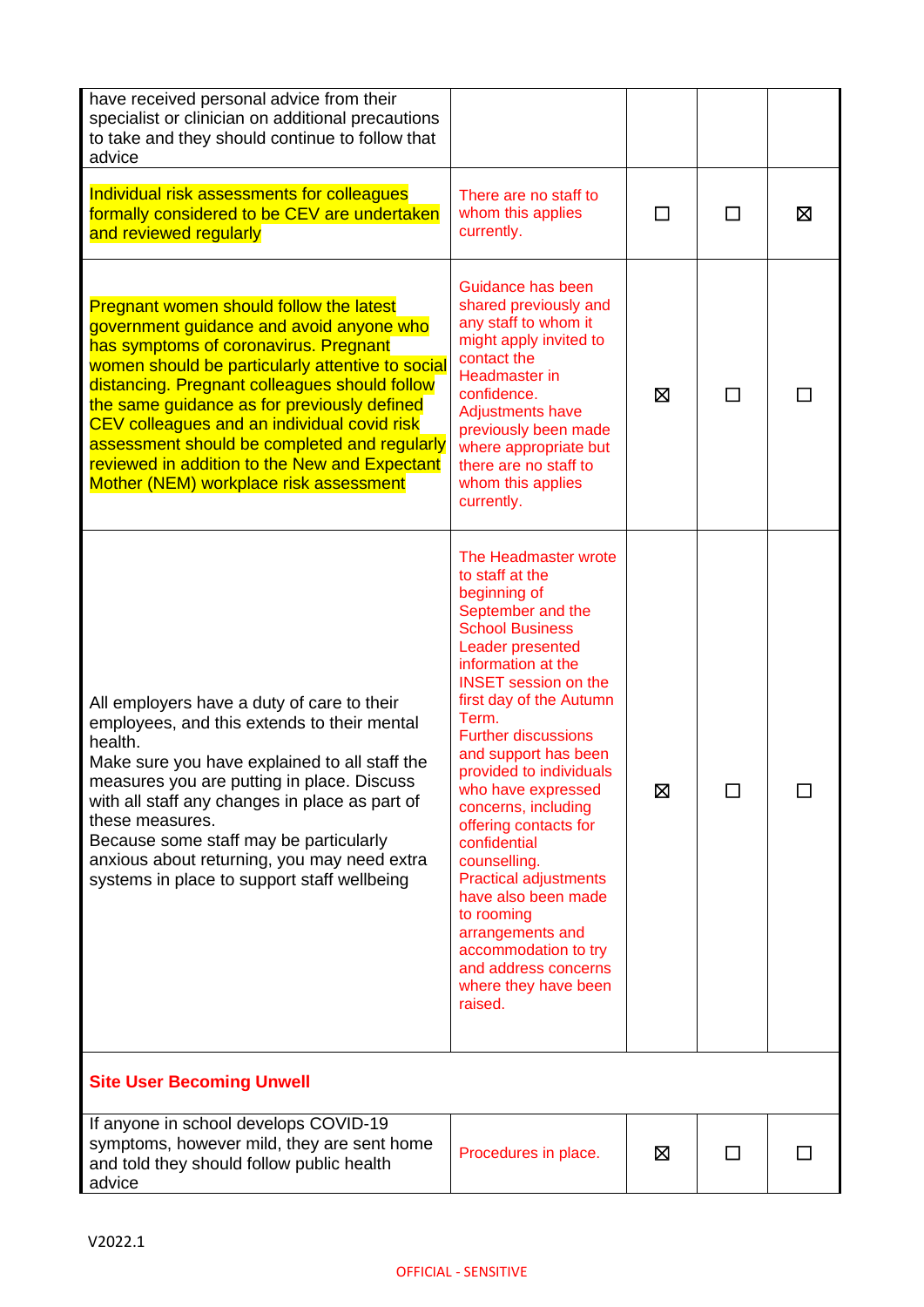| have received personal advice from their<br>specialist or clinician on additional precautions<br>to take and they should continue to follow that<br>advice                                                                                                                                                                                                                                                                                                                        |                                                                                                                                                                                                                                                                                                                                                                                                                                                                                                                                                                                        |         |   |   |
|-----------------------------------------------------------------------------------------------------------------------------------------------------------------------------------------------------------------------------------------------------------------------------------------------------------------------------------------------------------------------------------------------------------------------------------------------------------------------------------|----------------------------------------------------------------------------------------------------------------------------------------------------------------------------------------------------------------------------------------------------------------------------------------------------------------------------------------------------------------------------------------------------------------------------------------------------------------------------------------------------------------------------------------------------------------------------------------|---------|---|---|
| Individual risk assessments for colleagues<br>formally considered to be CEV are undertaken<br>and reviewed regularly                                                                                                                                                                                                                                                                                                                                                              | There are no staff to<br>whom this applies<br>currently.                                                                                                                                                                                                                                                                                                                                                                                                                                                                                                                               | $\perp$ | П | ⊠ |
| <b>Pregnant women should follow the latest</b><br>government guidance and avoid anyone who<br>has symptoms of coronavirus. Pregnant<br>women should be particularly attentive to social<br>distancing. Pregnant colleagues should follow<br>the same guidance as for previously defined<br>CEV colleagues and an individual covid risk<br>assessment should be completed and regularly<br>reviewed in addition to the New and Expectant<br>Mother (NEM) workplace risk assessment | Guidance has been<br>shared previously and<br>any staff to whom it<br>might apply invited to<br>contact the<br><b>Headmaster</b> in<br>confidence.<br><b>Adjustments have</b><br>previously been made<br>where appropriate but<br>there are no staff to<br>whom this applies<br>currently.                                                                                                                                                                                                                                                                                             | ⊠       | П |   |
| All employers have a duty of care to their<br>employees, and this extends to their mental<br>health.<br>Make sure you have explained to all staff the<br>measures you are putting in place. Discuss<br>with all staff any changes in place as part of<br>these measures.<br>Because some staff may be particularly<br>anxious about returning, you may need extra<br>systems in place to support staff wellbeing                                                                  | The Headmaster wrote<br>to staff at the<br>beginning of<br>September and the<br><b>School Business</b><br>Leader presented<br>information at the<br><b>INSET</b> session on the<br>first day of the Autumn<br>Term.<br><b>Further discussions</b><br>and support has been<br>provided to individuals<br>who have expressed<br>concerns, including<br>offering contacts for<br>confidential<br>counselling.<br><b>Practical adjustments</b><br>have also been made<br>to rooming<br>arrangements and<br>accommodation to try<br>and address concerns<br>where they have been<br>raised. | ⊠       | П |   |
| <b>Site User Becoming Unwell</b>                                                                                                                                                                                                                                                                                                                                                                                                                                                  |                                                                                                                                                                                                                                                                                                                                                                                                                                                                                                                                                                                        |         |   |   |
| If anyone in school develops COVID-19<br>symptoms, however mild, they are sent home<br>and told they should follow public health<br>advice                                                                                                                                                                                                                                                                                                                                        | Procedures in place.                                                                                                                                                                                                                                                                                                                                                                                                                                                                                                                                                                   | ⊠       | П |   |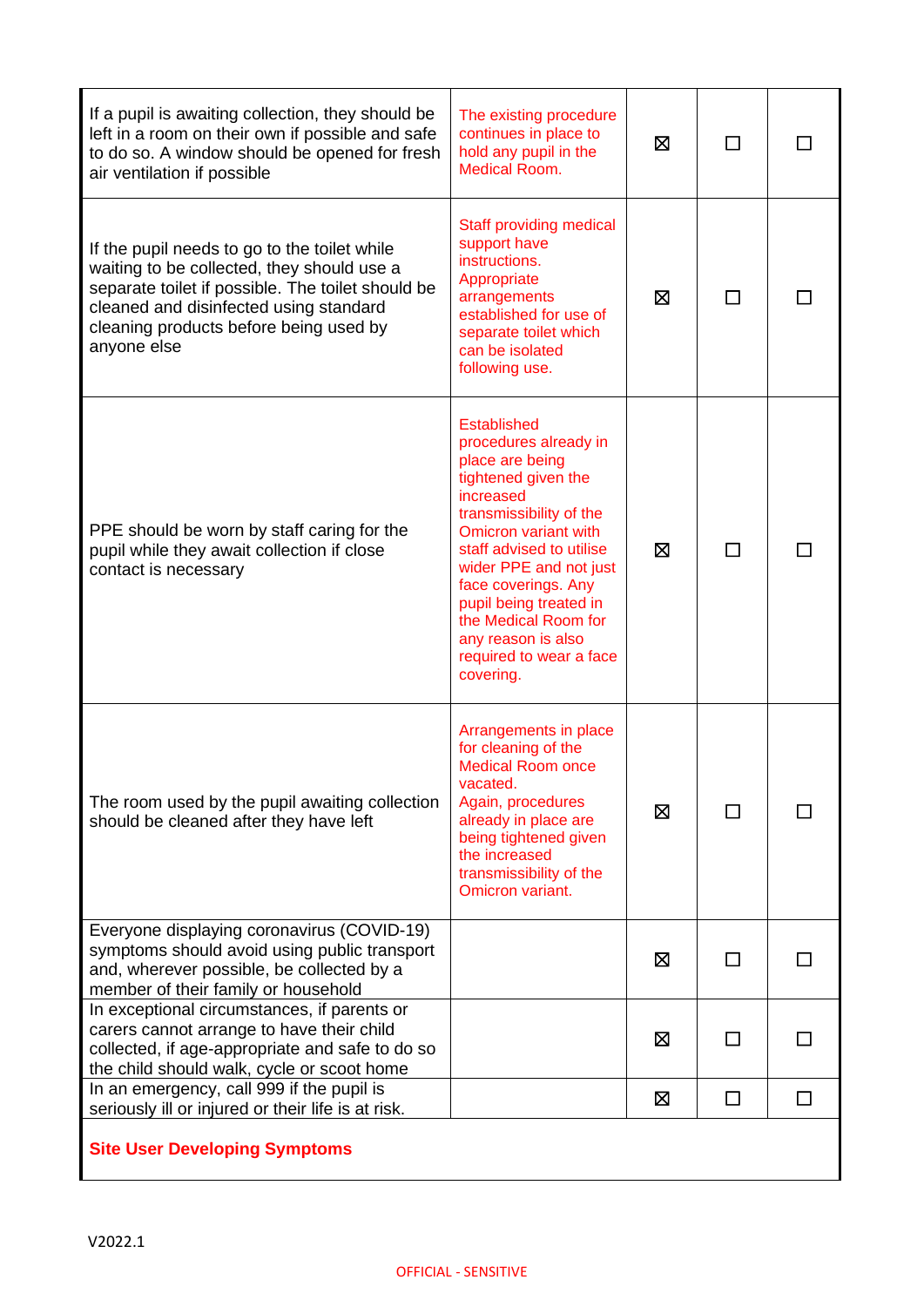| If a pupil is awaiting collection, they should be<br>left in a room on their own if possible and safe<br>to do so. A window should be opened for fresh<br>air ventilation if possible                                                              | The existing procedure<br>continues in place to<br>hold any pupil in the<br><b>Medical Room.</b>                                                                                                                                                                                                                                                   | ⊠ |              |        |
|----------------------------------------------------------------------------------------------------------------------------------------------------------------------------------------------------------------------------------------------------|----------------------------------------------------------------------------------------------------------------------------------------------------------------------------------------------------------------------------------------------------------------------------------------------------------------------------------------------------|---|--------------|--------|
| If the pupil needs to go to the toilet while<br>waiting to be collected, they should use a<br>separate toilet if possible. The toilet should be<br>cleaned and disinfected using standard<br>cleaning products before being used by<br>anyone else | <b>Staff providing medical</b><br>support have<br>instructions.<br>Appropriate<br>arrangements<br>established for use of<br>separate toilet which<br>can be isolated<br>following use.                                                                                                                                                             | ⊠ | П            |        |
| PPE should be worn by staff caring for the<br>pupil while they await collection if close<br>contact is necessary                                                                                                                                   | <b>Established</b><br>procedures already in<br>place are being<br>tightened given the<br>increased<br>transmissibility of the<br>Omicron variant with<br>staff advised to utilise<br>wider PPE and not just<br>face coverings. Any<br>pupil being treated in<br>the Medical Room for<br>any reason is also<br>required to wear a face<br>covering. | X |              |        |
| The room used by the pupil awaiting collection<br>should be cleaned after they have left                                                                                                                                                           | Arrangements in place<br>for cleaning of the<br><b>Medical Room once</b><br>vacated.<br>Again, procedures<br>already in place are<br>being tightened given<br>the increased<br>transmissibility of the<br>Omicron variant.                                                                                                                         | 区 |              |        |
| Everyone displaying coronavirus (COVID-19)<br>symptoms should avoid using public transport<br>and, wherever possible, be collected by a<br>member of their family or household                                                                     |                                                                                                                                                                                                                                                                                                                                                    | ⊠ | $\mathsf{L}$ |        |
| In exceptional circumstances, if parents or<br>carers cannot arrange to have their child<br>collected, if age-appropriate and safe to do so<br>the child should walk, cycle or scoot home                                                          |                                                                                                                                                                                                                                                                                                                                                    | ⊠ | $\mathsf{L}$ |        |
| In an emergency, call 999 if the pupil is<br>seriously ill or injured or their life is at risk.                                                                                                                                                    |                                                                                                                                                                                                                                                                                                                                                    | 区 | □            | $\Box$ |
| <b>Site User Developing Symptoms</b>                                                                                                                                                                                                               |                                                                                                                                                                                                                                                                                                                                                    |   |              |        |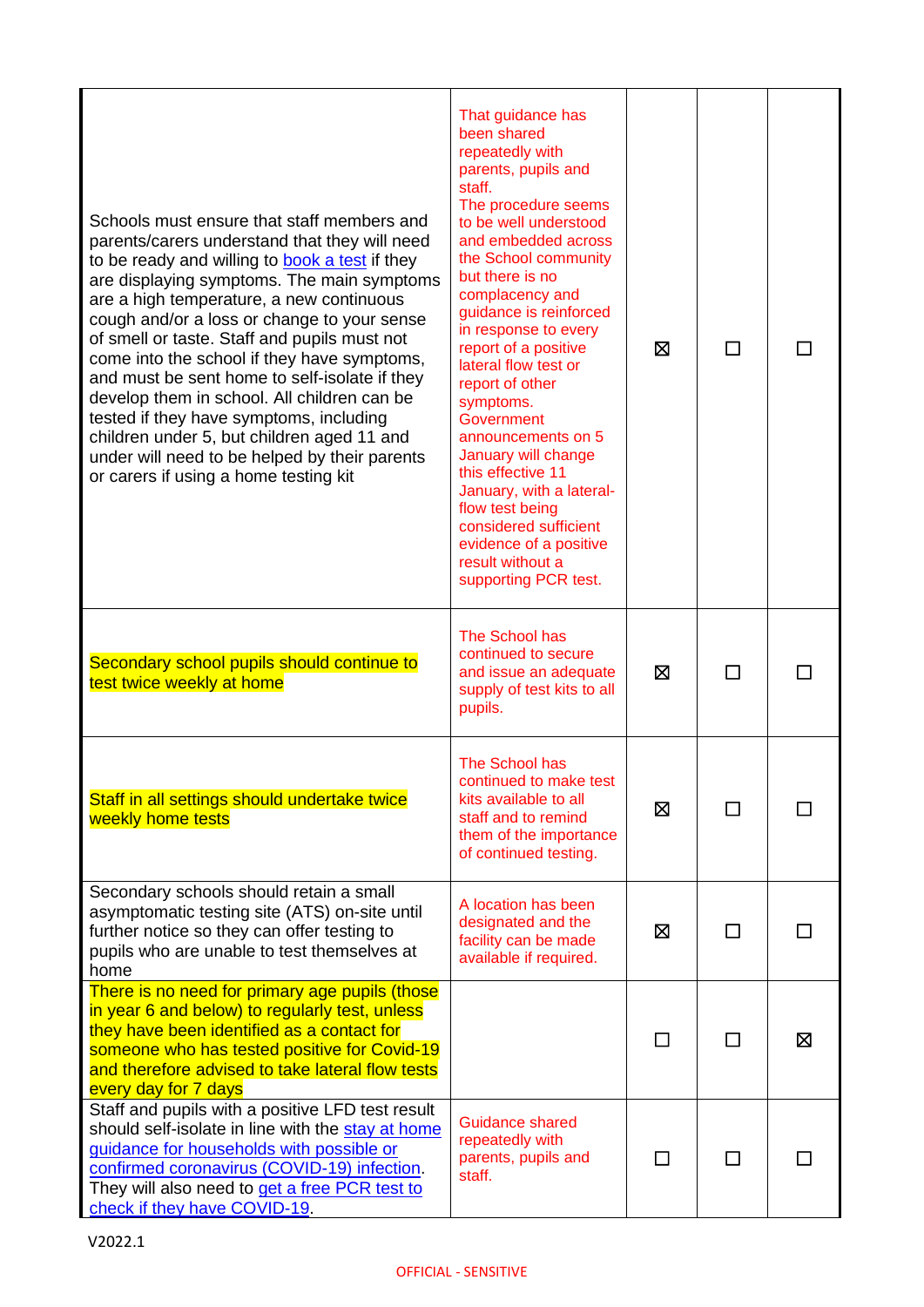| Schools must ensure that staff members and<br>parents/carers understand that they will need<br>to be ready and willing to book a test if they<br>are displaying symptoms. The main symptoms<br>are a high temperature, a new continuous<br>cough and/or a loss or change to your sense<br>of smell or taste. Staff and pupils must not<br>come into the school if they have symptoms,<br>and must be sent home to self-isolate if they<br>develop them in school. All children can be<br>tested if they have symptoms, including<br>children under 5, but children aged 11 and<br>under will need to be helped by their parents<br>or carers if using a home testing kit | That guidance has<br>been shared<br>repeatedly with<br>parents, pupils and<br>staff.<br>The procedure seems<br>to be well understood<br>and embedded across<br>the School community<br>but there is no<br>complacency and<br>guidance is reinforced<br>in response to every<br>report of a positive<br>lateral flow test or<br>report of other<br>symptoms.<br>Government<br>announcements on 5<br>January will change<br>this effective 11<br>January, with a lateral-<br>flow test being<br>considered sufficient<br>evidence of a positive<br>result without a<br>supporting PCR test. | ⊠ | $\Box$       |   |
|--------------------------------------------------------------------------------------------------------------------------------------------------------------------------------------------------------------------------------------------------------------------------------------------------------------------------------------------------------------------------------------------------------------------------------------------------------------------------------------------------------------------------------------------------------------------------------------------------------------------------------------------------------------------------|-------------------------------------------------------------------------------------------------------------------------------------------------------------------------------------------------------------------------------------------------------------------------------------------------------------------------------------------------------------------------------------------------------------------------------------------------------------------------------------------------------------------------------------------------------------------------------------------|---|--------------|---|
| Secondary school pupils should continue to<br>test twice weekly at home                                                                                                                                                                                                                                                                                                                                                                                                                                                                                                                                                                                                  | The School has<br>continued to secure<br>and issue an adequate<br>supply of test kits to all<br>pupils.                                                                                                                                                                                                                                                                                                                                                                                                                                                                                   | ⊠ |              |   |
| Staff in all settings should undertake twice<br>weekly home tests                                                                                                                                                                                                                                                                                                                                                                                                                                                                                                                                                                                                        | The School has<br>continued to make test<br>kits available to all<br>staff and to remind<br>them of the importance<br>of continued testing.                                                                                                                                                                                                                                                                                                                                                                                                                                               | ⊠ |              |   |
| Secondary schools should retain a small<br>asymptomatic testing site (ATS) on-site until<br>further notice so they can offer testing to<br>pupils who are unable to test themselves at<br>home                                                                                                                                                                                                                                                                                                                                                                                                                                                                           | A location has been<br>designated and the<br>facility can be made<br>available if required.                                                                                                                                                                                                                                                                                                                                                                                                                                                                                               | ⊠ | П            |   |
| There is no need for primary age pupils (those<br>in year 6 and below) to regularly test, unless<br>they have been identified as a contact for<br>someone who has tested positive for Covid-19<br>and therefore advised to take lateral flow tests<br>every day for 7 days                                                                                                                                                                                                                                                                                                                                                                                               |                                                                                                                                                                                                                                                                                                                                                                                                                                                                                                                                                                                           | □ | $\mathsf{L}$ | 区 |
| Staff and pupils with a positive LFD test result<br>should self-isolate in line with the stay at home<br>guidance for households with possible or<br>confirmed coronavirus (COVID-19) infection.<br>They will also need to get a free PCR test to<br>check if they have COVID-19.                                                                                                                                                                                                                                                                                                                                                                                        | <b>Guidance shared</b><br>repeatedly with<br>parents, pupils and<br>staff.                                                                                                                                                                                                                                                                                                                                                                                                                                                                                                                |   |              |   |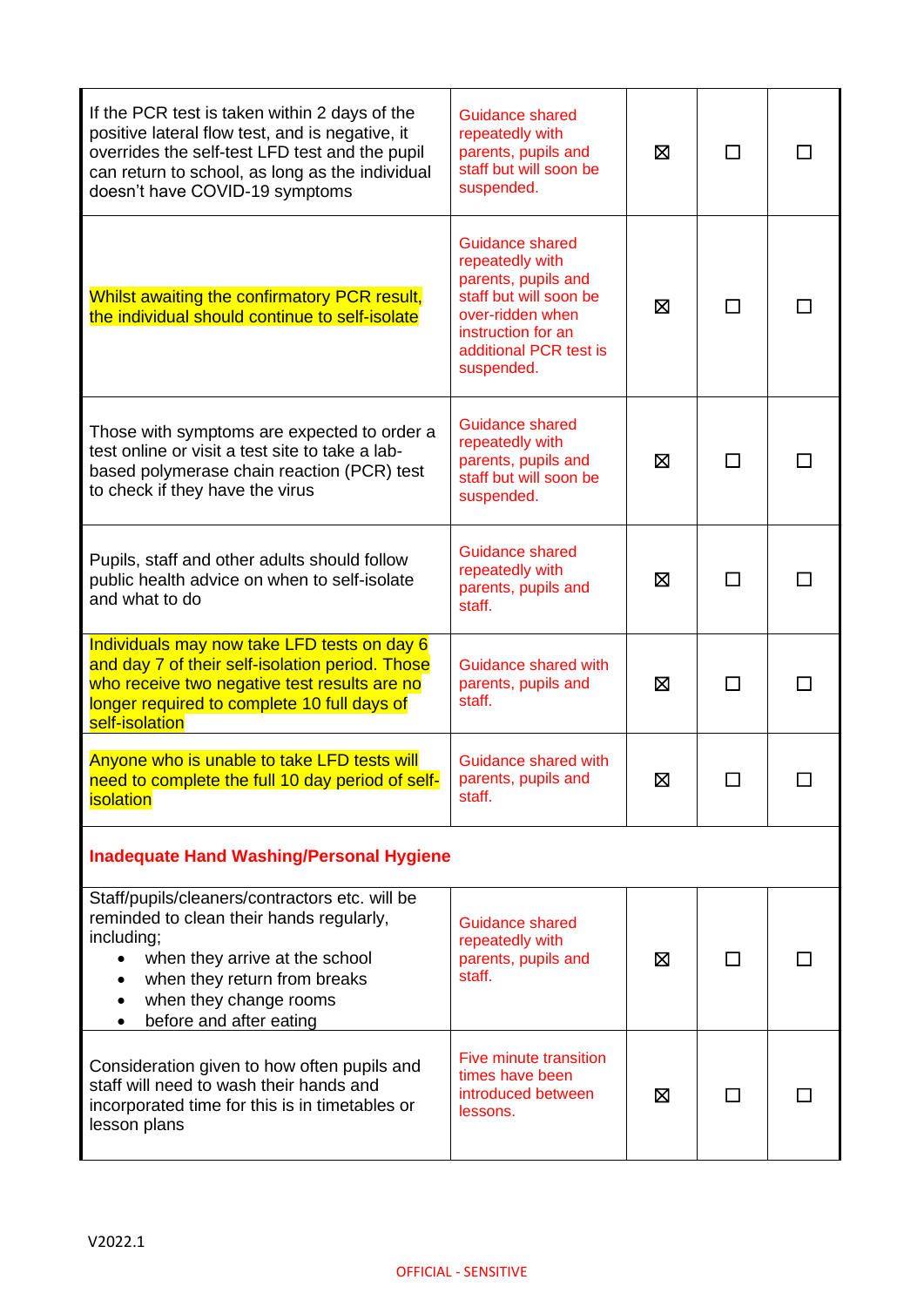| If the PCR test is taken within 2 days of the<br>positive lateral flow test, and is negative, it<br>overrides the self-test LFD test and the pupil<br>can return to school, as long as the individual<br>doesn't have COVID-19 symptoms                   | Guidance shared<br>repeatedly with<br>parents, pupils and<br>staff but will soon be<br>suspended.                                                                            | ⊠ | $\mathsf{L}$ |  |
|-----------------------------------------------------------------------------------------------------------------------------------------------------------------------------------------------------------------------------------------------------------|------------------------------------------------------------------------------------------------------------------------------------------------------------------------------|---|--------------|--|
| Whilst awaiting the confirmatory PCR result,<br>the individual should continue to self-isolate                                                                                                                                                            | <b>Guidance shared</b><br>repeatedly with<br>parents, pupils and<br>staff but will soon be<br>over-ridden when<br>instruction for an<br>additional PCR test is<br>suspended. | Ø |              |  |
| Those with symptoms are expected to order a<br>test online or visit a test site to take a lab-<br>based polymerase chain reaction (PCR) test<br>to check if they have the virus                                                                           | Guidance shared<br>repeatedly with<br>parents, pupils and<br>staff but will soon be<br>suspended.                                                                            | 区 | ΙI           |  |
| Pupils, staff and other adults should follow<br>public health advice on when to self-isolate<br>and what to do                                                                                                                                            | <b>Guidance shared</b><br>repeatedly with<br>parents, pupils and<br>staff.                                                                                                   | ⊠ | ΙI           |  |
| Individuals may now take LFD tests on day 6<br>and day 7 of their self-isolation period. Those<br>who receive two negative test results are no<br>longer required to complete 10 full days of<br>self-isolation                                           | Guidance shared with<br>parents, pupils and<br>staff.                                                                                                                        | ⊠ | П            |  |
| Anyone who is unable to take LFD tests will<br>need to complete the full 10 day period of self-<br><i>isolation</i>                                                                                                                                       | Guidance shared with<br>parents, pupils and<br>staff.                                                                                                                        | Ŋ |              |  |
| <b>Inadequate Hand Washing/Personal Hygiene</b>                                                                                                                                                                                                           |                                                                                                                                                                              |   |              |  |
| Staff/pupils/cleaners/contractors etc. will be<br>reminded to clean their hands regularly,<br>including;<br>when they arrive at the school<br>when they return from breaks<br>when they change rooms<br>$\bullet$<br>before and after eating<br>$\bullet$ | <b>Guidance shared</b><br>repeatedly with<br>parents, pupils and<br>staff.                                                                                                   | ⊠ |              |  |
| Consideration given to how often pupils and<br>staff will need to wash their hands and<br>incorporated time for this is in timetables or<br>lesson plans                                                                                                  | <b>Five minute transition</b><br>times have been<br>introduced between<br>lessons.                                                                                           | ⊠ |              |  |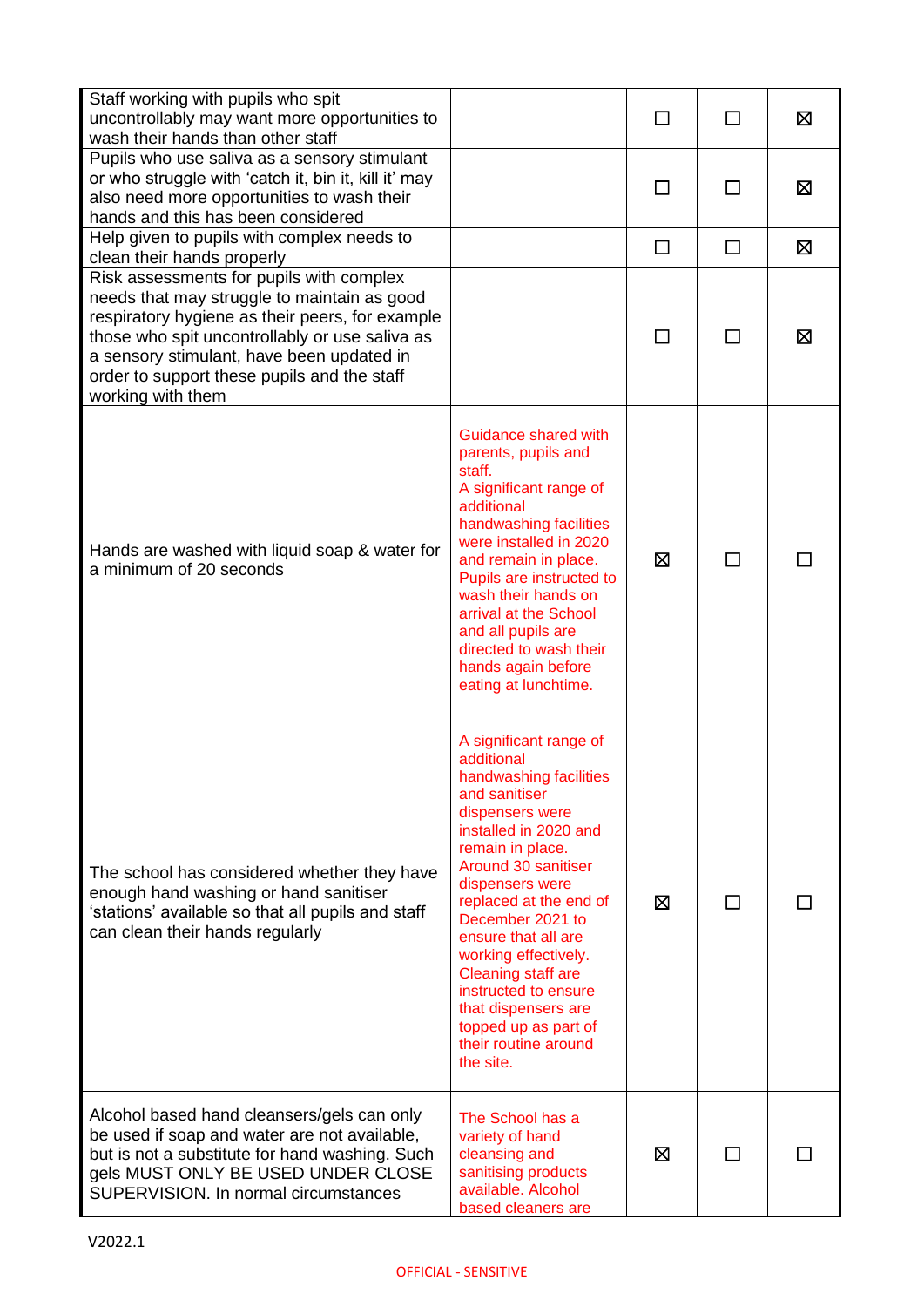| Staff working with pupils who spit<br>uncontrollably may want more opportunities to<br>wash their hands than other staff                                                                                                                                                                                      |                                                                                                                                                                                                                                                                                                                                                                                                                          | ΓI     | П | ⊠ |
|---------------------------------------------------------------------------------------------------------------------------------------------------------------------------------------------------------------------------------------------------------------------------------------------------------------|--------------------------------------------------------------------------------------------------------------------------------------------------------------------------------------------------------------------------------------------------------------------------------------------------------------------------------------------------------------------------------------------------------------------------|--------|---|---|
| Pupils who use saliva as a sensory stimulant<br>or who struggle with 'catch it, bin it, kill it' may<br>also need more opportunities to wash their<br>hands and this has been considered                                                                                                                      |                                                                                                                                                                                                                                                                                                                                                                                                                          | ΓI     |   | 区 |
| Help given to pupils with complex needs to<br>clean their hands properly                                                                                                                                                                                                                                      |                                                                                                                                                                                                                                                                                                                                                                                                                          | $\Box$ | □ | Σ |
| Risk assessments for pupils with complex<br>needs that may struggle to maintain as good<br>respiratory hygiene as their peers, for example<br>those who spit uncontrollably or use saliva as<br>a sensory stimulant, have been updated in<br>order to support these pupils and the staff<br>working with them |                                                                                                                                                                                                                                                                                                                                                                                                                          |        |   | ⊠ |
| Hands are washed with liquid soap & water for<br>a minimum of 20 seconds                                                                                                                                                                                                                                      | Guidance shared with<br>parents, pupils and<br>staff.<br>A significant range of<br>additional<br>handwashing facilities<br>were installed in 2020<br>and remain in place.<br>Pupils are instructed to<br>wash their hands on<br>arrival at the School<br>and all pupils are<br>directed to wash their<br>hands again before<br>eating at lunchtime.                                                                      | ⊠      |   |   |
| The school has considered whether they have<br>enough hand washing or hand sanitiser<br>'stations' available so that all pupils and staff<br>can clean their hands regularly                                                                                                                                  | A significant range of<br>additional<br>handwashing facilities<br>and sanitiser<br>dispensers were<br>installed in 2020 and<br>remain in place.<br>Around 30 sanitiser<br>dispensers were<br>replaced at the end of<br>December 2021 to<br>ensure that all are<br>working effectively.<br>Cleaning staff are<br>instructed to ensure<br>that dispensers are<br>topped up as part of<br>their routine around<br>the site. | ⊠      |   |   |
| Alcohol based hand cleansers/gels can only<br>be used if soap and water are not available,<br>but is not a substitute for hand washing. Such<br>gels MUST ONLY BE USED UNDER CLOSE<br>SUPERVISION. In normal circumstances                                                                                    | The School has a<br>variety of hand<br>cleansing and<br>sanitising products<br>available. Alcohol<br>based cleaners are                                                                                                                                                                                                                                                                                                  | ⊠      |   |   |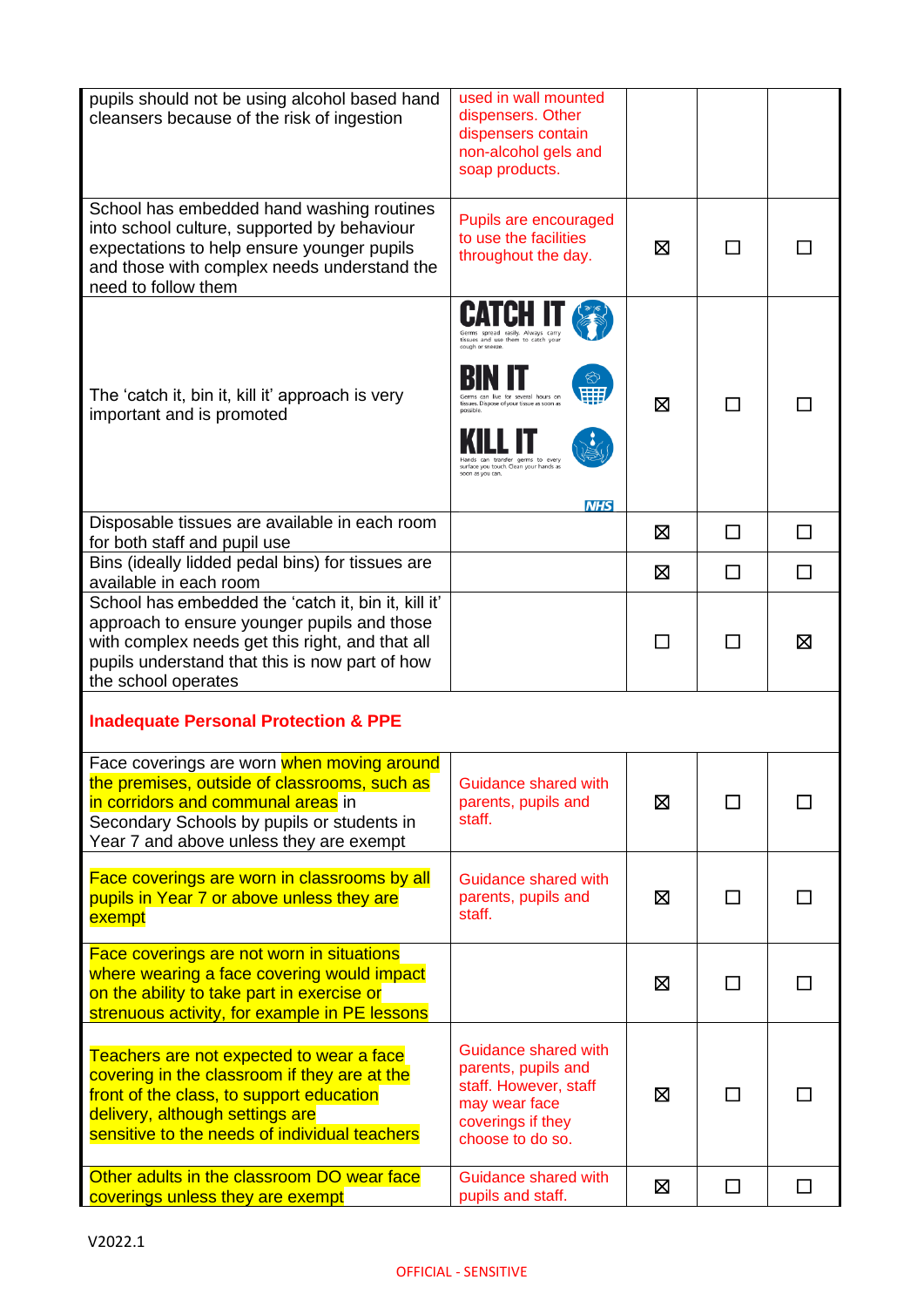| pupils should not be using alcohol based hand<br>cleansers because of the risk of ingestion                                                                                                                                    | used in wall mounted<br>dispensers. Other<br>dispensers contain<br>non-alcohol gels and<br>soap products.                                                                                                                        |   |                |        |
|--------------------------------------------------------------------------------------------------------------------------------------------------------------------------------------------------------------------------------|----------------------------------------------------------------------------------------------------------------------------------------------------------------------------------------------------------------------------------|---|----------------|--------|
| School has embedded hand washing routines<br>into school culture, supported by behaviour<br>expectations to help ensure younger pupils<br>and those with complex needs understand the<br>need to follow them                   | Pupils are encouraged<br>to use the facilities<br>throughout the day.                                                                                                                                                            | ⊠ |                |        |
| The 'catch it, bin it, kill it' approach is very<br>important and is promoted                                                                                                                                                  | tissues and use them to catch you<br>cough or sneeze.<br>an live for several hours or<br>tissues. Dispose of your tissue as soon as<br>germs to ever<br>surface you touch. Clean your hands as<br>soon as you can.<br><b>NHS</b> | ⊠ | П              |        |
| Disposable tissues are available in each room<br>for both staff and pupil use                                                                                                                                                  |                                                                                                                                                                                                                                  | ⊠ | ΙI             |        |
| Bins (ideally lidded pedal bins) for tissues are<br>available in each room                                                                                                                                                     |                                                                                                                                                                                                                                  | ⊠ | □              | П      |
| School has embedded the 'catch it, bin it, kill it'<br>approach to ensure younger pupils and those<br>with complex needs get this right, and that all<br>pupils understand that this is now part of how<br>the school operates |                                                                                                                                                                                                                                  |   |                | ⊠      |
| <b>Inadequate Personal Protection &amp; PPE</b>                                                                                                                                                                                |                                                                                                                                                                                                                                  |   |                |        |
| Face coverings are worn when moving around<br>the premises, outside of classrooms, such as<br>in corridors and communal areas in<br>Secondary Schools by pupils or students in<br>Year 7 and above unless they are exempt      | Guidance shared with<br>parents, pupils and<br>staff.                                                                                                                                                                            | ⊠ | $\blacksquare$ |        |
| Face coverings are worn in classrooms by all<br>pupils in Year 7 or above unless they are<br>exempt                                                                                                                            | Guidance shared with<br>parents, pupils and<br>staff.                                                                                                                                                                            | ⊠ | П              |        |
| Face coverings are not worn in situations<br>where wearing a face covering would impact<br>on the ability to take part in exercise or<br>strenuous activity, for example in PE lessons                                         |                                                                                                                                                                                                                                  | ⊠ | П              | ΙI     |
| Teachers are not expected to wear a face<br>covering in the classroom if they are at the<br>front of the class, to support education<br>delivery, although settings are<br>sensitive to the needs of individual teachers       | Guidance shared with<br>parents, pupils and<br>staff. However, staff<br>may wear face<br>coverings if they<br>choose to do so.                                                                                                   | Ø | П              | LΙ     |
| Other adults in the classroom DO wear face<br>coverings unless they are exempt                                                                                                                                                 | Guidance shared with<br>pupils and staff.                                                                                                                                                                                        | Ø | $\Box$         | $\Box$ |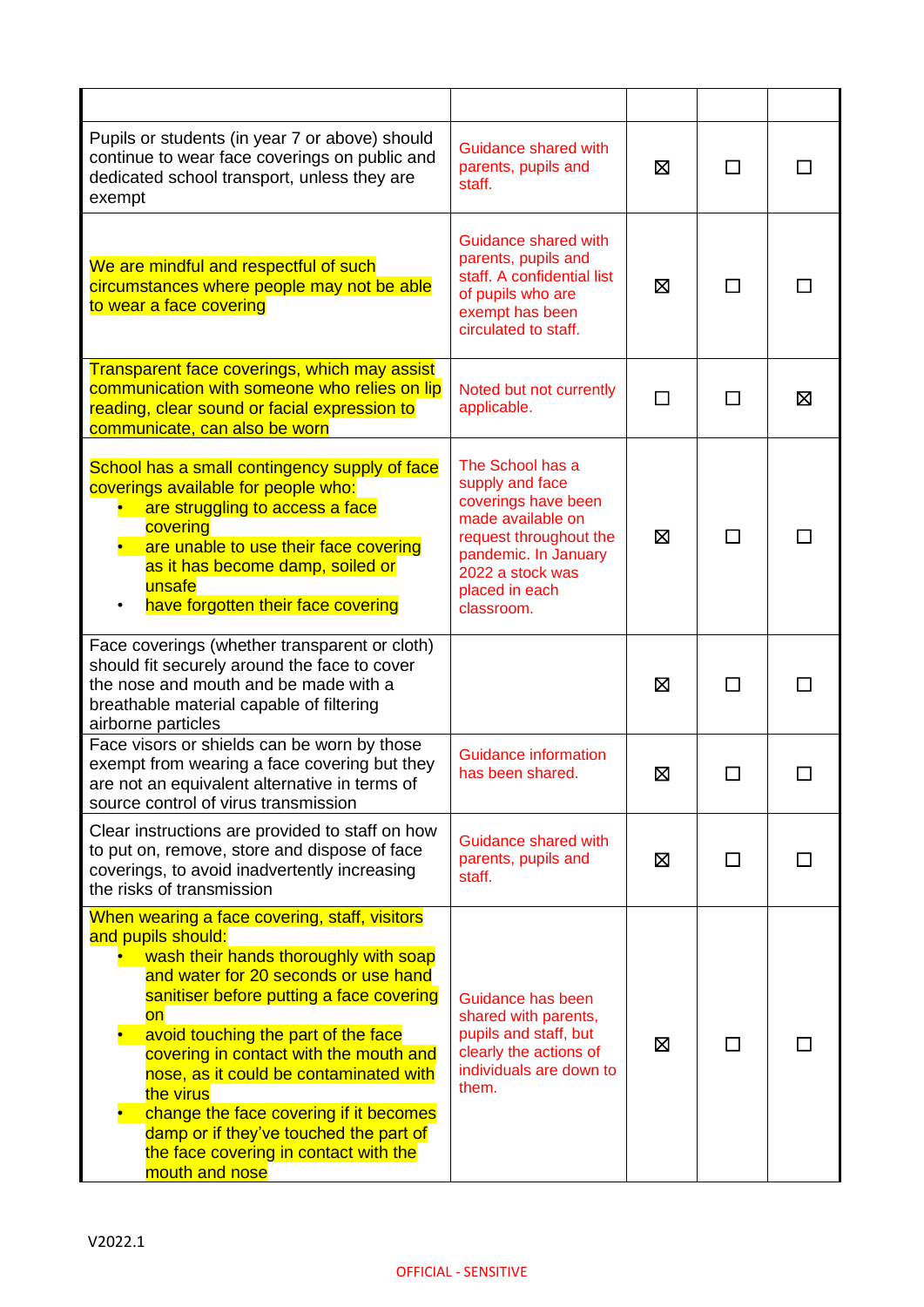| Pupils or students (in year 7 or above) should<br>continue to wear face coverings on public and<br>dedicated school transport, unless they are<br>exempt                                                                                                                                                                                                                                                                                                                                      | Guidance shared with<br>parents, pupils and<br>staff.                                                                                                                                 | ⊠ | ΙI           |   |
|-----------------------------------------------------------------------------------------------------------------------------------------------------------------------------------------------------------------------------------------------------------------------------------------------------------------------------------------------------------------------------------------------------------------------------------------------------------------------------------------------|---------------------------------------------------------------------------------------------------------------------------------------------------------------------------------------|---|--------------|---|
| We are mindful and respectful of such<br>circumstances where people may not be able<br>to wear a face covering                                                                                                                                                                                                                                                                                                                                                                                | Guidance shared with<br>parents, pupils and<br>staff. A confidential list<br>of pupils who are<br>exempt has been<br>circulated to staff.                                             | ⊠ | $\mathsf{L}$ |   |
| <b>Transparent face coverings, which may assist</b><br>communication with someone who relies on lip<br>reading, clear sound or facial expression to<br>communicate, can also be worn                                                                                                                                                                                                                                                                                                          | Noted but not currently<br>applicable.                                                                                                                                                | П | П            | ⊠ |
| School has a small contingency supply of face<br>coverings available for people who:<br>are struggling to access a face<br>covering<br>are unable to use their face covering<br>as it has become damp, soiled or<br>unsafe<br>have forgotten their face covering                                                                                                                                                                                                                              | The School has a<br>supply and face<br>coverings have been<br>made available on<br>request throughout the<br>pandemic. In January<br>2022 a stock was<br>placed in each<br>classroom. | ⊠ | $\Box$       |   |
| Face coverings (whether transparent or cloth)<br>should fit securely around the face to cover<br>the nose and mouth and be made with a<br>breathable material capable of filtering<br>airborne particles                                                                                                                                                                                                                                                                                      |                                                                                                                                                                                       | ⊠ |              |   |
| Face visors or shields can be worn by those<br>exempt from wearing a face covering but they<br>are not an equivalent alternative in terms of<br>source control of virus transmission                                                                                                                                                                                                                                                                                                          | Guidance information<br>has been shared.                                                                                                                                              | ⊠ |              |   |
| Clear instructions are provided to staff on how<br>to put on, remove, store and dispose of face<br>coverings, to avoid inadvertently increasing<br>the risks of transmission                                                                                                                                                                                                                                                                                                                  | <b>Guidance shared with</b><br>parents, pupils and<br>staff.                                                                                                                          | ⊠ |              |   |
| When wearing a face covering, staff, visitors<br>and pupils should:<br>wash their hands thoroughly with soap<br>and water for 20 seconds or use hand<br>sanitiser before putting a face covering<br>on<br>avoid touching the part of the face<br>covering in contact with the mouth and<br>nose, as it could be contaminated with<br>the virus<br>change the face covering if it becomes<br>damp or if they've touched the part of<br>the face covering in contact with the<br>mouth and nose | Guidance has been<br>shared with parents,<br>pupils and staff, but<br>clearly the actions of<br>individuals are down to<br>them.                                                      | ⊠ |              |   |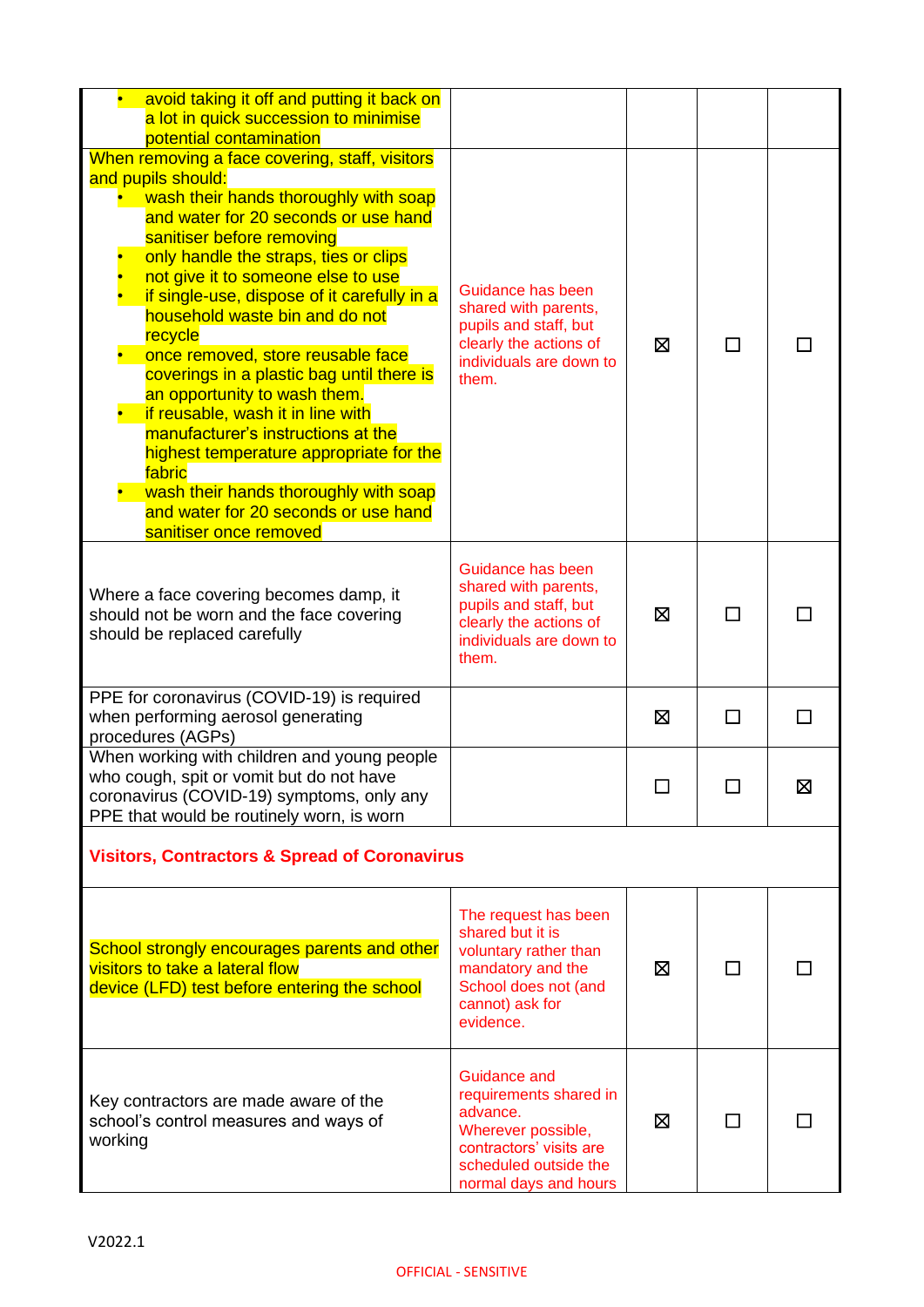| avoid taking it off and putting it back on<br>a lot in quick succession to minimise<br>potential contamination                                                                                                                                                                                                                                                                                                                                                                                                                                                                                                                                                                                   |                                                                                                                                                              |   |        |   |
|--------------------------------------------------------------------------------------------------------------------------------------------------------------------------------------------------------------------------------------------------------------------------------------------------------------------------------------------------------------------------------------------------------------------------------------------------------------------------------------------------------------------------------------------------------------------------------------------------------------------------------------------------------------------------------------------------|--------------------------------------------------------------------------------------------------------------------------------------------------------------|---|--------|---|
| When removing a face covering, staff, visitors<br>and pupils should:<br>wash their hands thoroughly with soap<br>and water for 20 seconds or use hand<br>sanitiser before removing<br>only handle the straps, ties or clips<br>not give it to someone else to use<br>if single-use, dispose of it carefully in a<br>household waste bin and do not<br>recycle<br>once removed, store reusable face<br>coverings in a plastic bag until there is<br>an opportunity to wash them.<br>if reusable, wash it in line with<br>manufacturer's instructions at the<br>highest temperature appropriate for the<br>fabric<br>wash their hands thoroughly with soap<br>and water for 20 seconds or use hand | Guidance has been<br>shared with parents,<br>pupils and staff, but<br>clearly the actions of<br>individuals are down to<br>them.                             | ⊠ |        |   |
| sanitiser once removed<br>Where a face covering becomes damp, it<br>should not be worn and the face covering<br>should be replaced carefully                                                                                                                                                                                                                                                                                                                                                                                                                                                                                                                                                     | Guidance has been<br>shared with parents,<br>pupils and staff, but<br>clearly the actions of<br>individuals are down to<br>them.                             | ⊠ |        |   |
| PPE for coronavirus (COVID-19) is required<br>when performing aerosol generating<br>procedures (AGPs)                                                                                                                                                                                                                                                                                                                                                                                                                                                                                                                                                                                            |                                                                                                                                                              | ⊠ |        |   |
| When working with children and young people<br>who cough, spit or vomit but do not have<br>coronavirus (COVID-19) symptoms, only any<br>PPE that would be routinely worn, is worn                                                                                                                                                                                                                                                                                                                                                                                                                                                                                                                |                                                                                                                                                              |   |        | 区 |
| <b>Visitors, Contractors &amp; Spread of Coronavirus</b>                                                                                                                                                                                                                                                                                                                                                                                                                                                                                                                                                                                                                                         |                                                                                                                                                              |   |        |   |
| School strongly encourages parents and other<br>visitors to take a lateral flow<br>device (LFD) test before entering the school                                                                                                                                                                                                                                                                                                                                                                                                                                                                                                                                                                  | The request has been<br>shared but it is<br>voluntary rather than<br>mandatory and the<br>School does not (and<br>cannot) ask for<br>evidence.               | ⊠ |        |   |
| Key contractors are made aware of the<br>school's control measures and ways of<br>working                                                                                                                                                                                                                                                                                                                                                                                                                                                                                                                                                                                                        | <b>Guidance and</b><br>requirements shared in<br>advance.<br>Wherever possible,<br>contractors' visits are<br>scheduled outside the<br>normal days and hours | ⊠ | $\Box$ |   |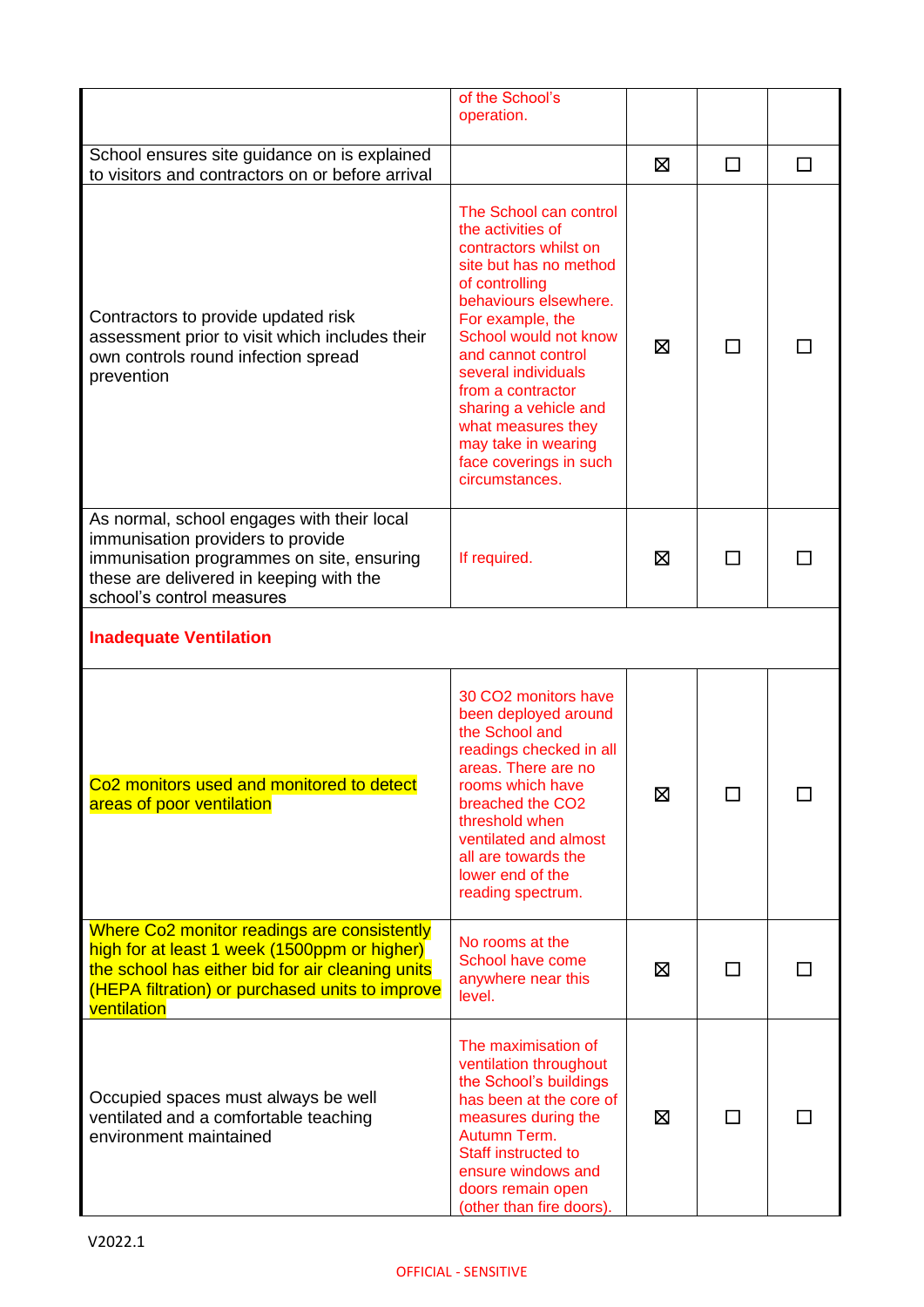|                                                                                                                                                                                                                   | of the School's                                                                                                                                                                                                                                                                                                                                                            |   |    |   |
|-------------------------------------------------------------------------------------------------------------------------------------------------------------------------------------------------------------------|----------------------------------------------------------------------------------------------------------------------------------------------------------------------------------------------------------------------------------------------------------------------------------------------------------------------------------------------------------------------------|---|----|---|
|                                                                                                                                                                                                                   | operation.                                                                                                                                                                                                                                                                                                                                                                 |   |    |   |
| School ensures site guidance on is explained<br>to visitors and contractors on or before arrival                                                                                                                  |                                                                                                                                                                                                                                                                                                                                                                            | ⊠ | □  | П |
| Contractors to provide updated risk<br>assessment prior to visit which includes their<br>own controls round infection spread<br>prevention                                                                        | The School can control<br>the activities of<br>contractors whilst on<br>site but has no method<br>of controlling<br>behaviours elsewhere.<br>For example, the<br>School would not know<br>and cannot control<br>several individuals<br>from a contractor<br>sharing a vehicle and<br>what measures they<br>may take in wearing<br>face coverings in such<br>circumstances. | ⊠ |    |   |
| As normal, school engages with their local<br>immunisation providers to provide<br>immunisation programmes on site, ensuring<br>these are delivered in keeping with the<br>school's control measures              | If required.                                                                                                                                                                                                                                                                                                                                                               | ⊠ | ΙI |   |
| <b>Inadequate Ventilation</b>                                                                                                                                                                                     |                                                                                                                                                                                                                                                                                                                                                                            |   |    |   |
| Co2 monitors used and monitored to detect<br>areas of poor ventilation                                                                                                                                            | 30 CO2 monitors have<br>been deployed around<br>the School and<br>readings checked in all<br>areas. There are no<br>rooms which have<br>breached the CO <sub>2</sub><br>threshold when<br>ventilated and almost<br>all are towards the<br>lower end of the<br>reading spectrum.                                                                                            | ⊠ | П  |   |
| Where Co2 monitor readings are consistently<br>high for at least 1 week (1500ppm or higher)<br>the school has either bid for air cleaning units<br>(HEPA filtration) or purchased units to improve<br>ventilation | No rooms at the<br>School have come<br>anywhere near this<br>level.                                                                                                                                                                                                                                                                                                        | ⊠ |    |   |
| Occupied spaces must always be well<br>ventilated and a comfortable teaching<br>environment maintained                                                                                                            | The maximisation of<br>ventilation throughout<br>the School's buildings<br>has been at the core of<br>measures during the<br>Autumn Term.<br>Staff instructed to<br>ensure windows and<br>doors remain open<br>(other than fire doors).                                                                                                                                    | ⊠ |    |   |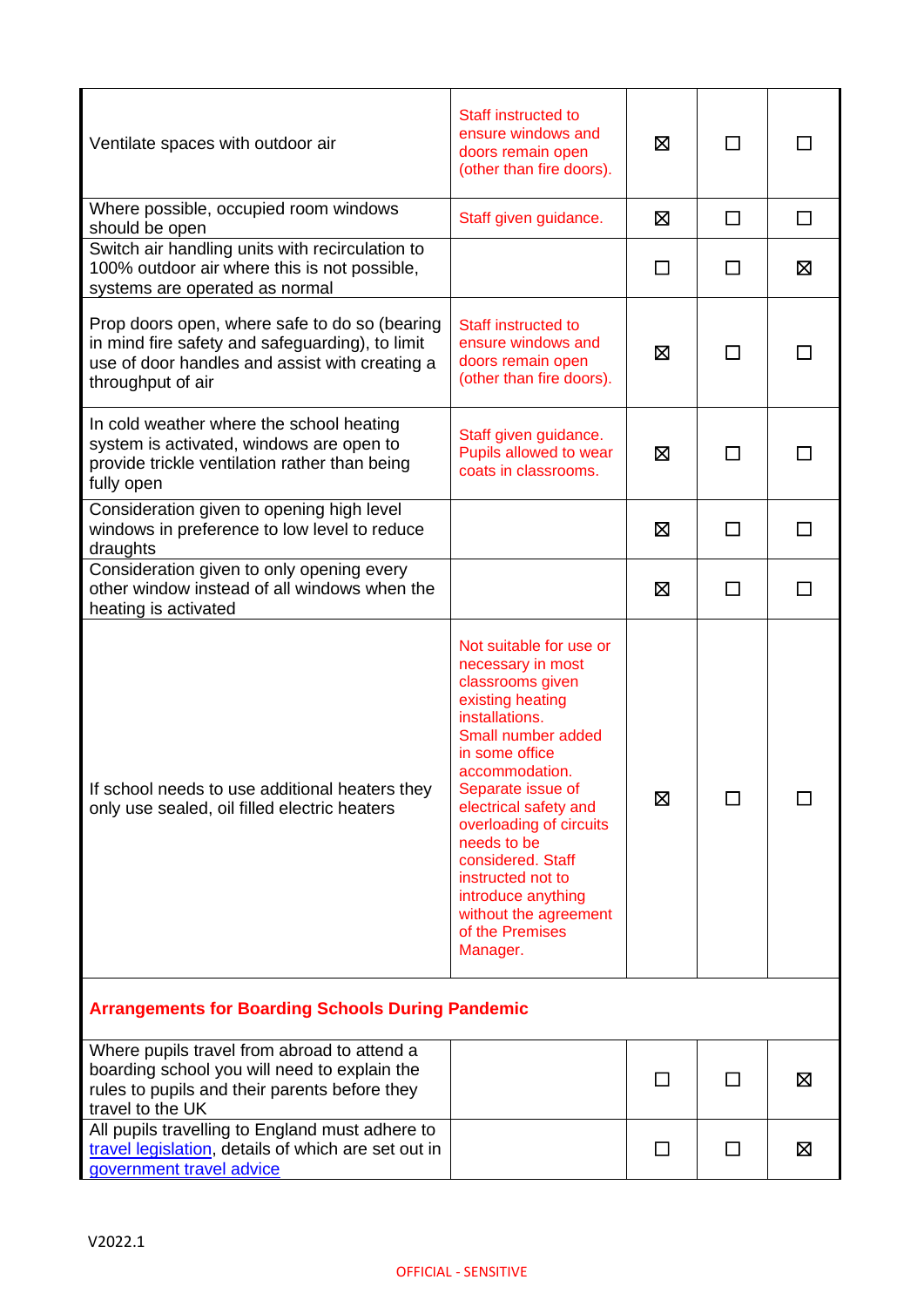| Ventilate spaces with outdoor air                                                                                                                                       | Staff instructed to<br>ensure windows and<br>doors remain open<br>(other than fire doors).                                                                                                                                                                                                                                                                                       | ⊠       | □      |        |
|-------------------------------------------------------------------------------------------------------------------------------------------------------------------------|----------------------------------------------------------------------------------------------------------------------------------------------------------------------------------------------------------------------------------------------------------------------------------------------------------------------------------------------------------------------------------|---------|--------|--------|
| Where possible, occupied room windows<br>should be open                                                                                                                 | Staff given guidance.                                                                                                                                                                                                                                                                                                                                                            | ⊠       | $\Box$ | $\Box$ |
| Switch air handling units with recirculation to<br>100% outdoor air where this is not possible,<br>systems are operated as normal                                       |                                                                                                                                                                                                                                                                                                                                                                                  | $\perp$ | П      | ⊠      |
| Prop doors open, where safe to do so (bearing<br>in mind fire safety and safeguarding), to limit<br>use of door handles and assist with creating a<br>throughput of air | Staff instructed to<br>ensure windows and<br>doors remain open<br>(other than fire doors).                                                                                                                                                                                                                                                                                       | ⊠       | l.     |        |
| In cold weather where the school heating<br>system is activated, windows are open to<br>provide trickle ventilation rather than being<br>fully open                     | Staff given guidance.<br>Pupils allowed to wear<br>coats in classrooms.                                                                                                                                                                                                                                                                                                          | ⊠       | П      |        |
| Consideration given to opening high level<br>windows in preference to low level to reduce<br>draughts                                                                   |                                                                                                                                                                                                                                                                                                                                                                                  | ⊠       | П      |        |
| Consideration given to only opening every<br>other window instead of all windows when the<br>heating is activated                                                       |                                                                                                                                                                                                                                                                                                                                                                                  | X       | П      |        |
| If school needs to use additional heaters they<br>only use sealed, oil filled electric heaters                                                                          | Not suitable for use or<br>necessary in most<br>classrooms given<br>existing heating<br>installations.<br>Small number added<br>in some office<br>accommodation.<br>Separate issue of<br>electrical safety and<br>overloading of circuits<br>needs to be<br>considered. Staff<br>instructed not to<br>introduce anything<br>without the agreement<br>of the Premises<br>Manager. | ⊠       | П      |        |
| <b>Arrangements for Boarding Schools During Pandemic</b>                                                                                                                |                                                                                                                                                                                                                                                                                                                                                                                  |         |        |        |
| Where pupils travel from abroad to attend a<br>boarding school you will need to explain the<br>rules to pupils and their parents before they<br>travel to the UK        |                                                                                                                                                                                                                                                                                                                                                                                  | ⊓       | $\Box$ | ⊠      |
| All pupils travelling to England must adhere to<br>travel legislation, details of which are set out in<br>government travel advice                                      |                                                                                                                                                                                                                                                                                                                                                                                  | $\Box$  | $\Box$ | ⊠      |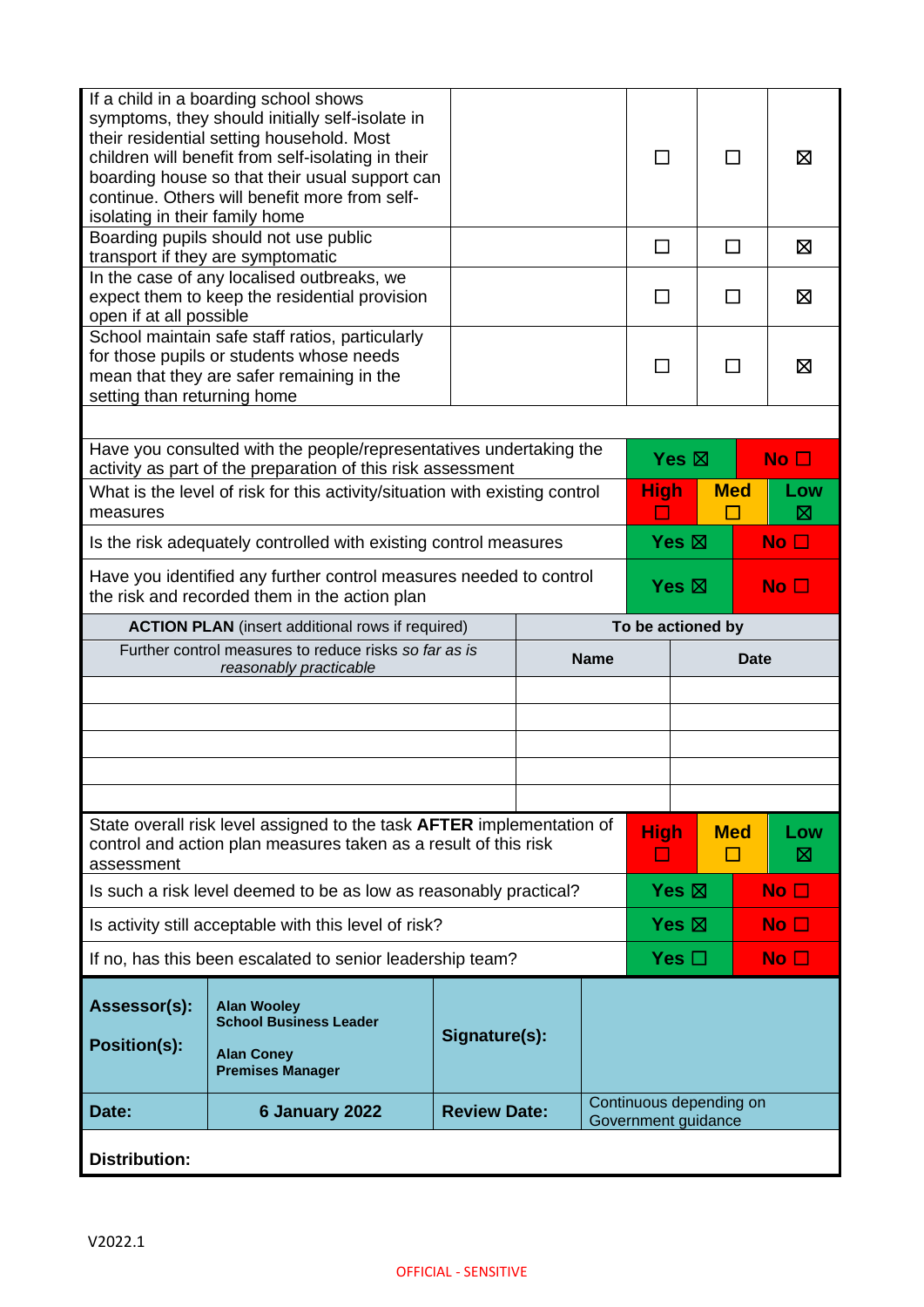| isolating in their family home                                                                                      | If a child in a boarding school shows<br>symptoms, they should initially self-isolate in<br>their residential setting household. Most<br>children will benefit from self-isolating in their<br>boarding house so that their usual support can<br>continue. Others will benefit more from self- |                     |  |                                                |                                    |              |      | ⊠               |
|---------------------------------------------------------------------------------------------------------------------|------------------------------------------------------------------------------------------------------------------------------------------------------------------------------------------------------------------------------------------------------------------------------------------------|---------------------|--|------------------------------------------------|------------------------------------|--------------|------|-----------------|
|                                                                                                                     | Boarding pupils should not use public<br>transport if they are symptomatic                                                                                                                                                                                                                     |                     |  | П                                              |                                    | П            |      | ⊠               |
| open if at all possible                                                                                             | In the case of any localised outbreaks, we<br>expect them to keep the residential provision                                                                                                                                                                                                    |                     |  |                                                |                                    | $\mathsf{L}$ |      | ⊠               |
| setting than returning home                                                                                         | School maintain safe staff ratios, particularly<br>for those pupils or students whose needs<br>mean that they are safer remaining in the                                                                                                                                                       |                     |  |                                                |                                    | $\mathsf{L}$ |      | ⊠               |
|                                                                                                                     |                                                                                                                                                                                                                                                                                                |                     |  |                                                |                                    |              |      |                 |
|                                                                                                                     | Have you consulted with the people/representatives undertaking the<br>activity as part of the preparation of this risk assessment                                                                                                                                                              |                     |  |                                                | Yes $\boxtimes$<br>No <sub>1</sub> |              |      |                 |
| measures                                                                                                            | What is the level of risk for this activity/situation with existing control                                                                                                                                                                                                                    |                     |  | <b>High</b>                                    |                                    | <b>Med</b>   |      | Low<br>M        |
|                                                                                                                     | Is the risk adequately controlled with existing control measures                                                                                                                                                                                                                               |                     |  |                                                | Yes $\boxtimes$                    |              |      | No $\square$    |
| Have you identified any further control measures needed to control<br>the risk and recorded them in the action plan |                                                                                                                                                                                                                                                                                                |                     |  | Yes $\boxtimes$<br>No $\Box$                   |                                    |              |      |                 |
| To be actioned by<br><b>ACTION PLAN</b> (insert additional rows if required)                                        |                                                                                                                                                                                                                                                                                                |                     |  |                                                |                                    |              |      |                 |
|                                                                                                                     |                                                                                                                                                                                                                                                                                                |                     |  |                                                |                                    |              |      |                 |
|                                                                                                                     | Further control measures to reduce risks so far as is<br>reasonably practicable                                                                                                                                                                                                                |                     |  | <b>Name</b>                                    |                                    |              | Date |                 |
|                                                                                                                     |                                                                                                                                                                                                                                                                                                |                     |  |                                                |                                    |              |      |                 |
|                                                                                                                     |                                                                                                                                                                                                                                                                                                |                     |  |                                                |                                    |              |      |                 |
|                                                                                                                     |                                                                                                                                                                                                                                                                                                |                     |  |                                                |                                    |              |      |                 |
|                                                                                                                     |                                                                                                                                                                                                                                                                                                |                     |  |                                                |                                    |              |      |                 |
|                                                                                                                     |                                                                                                                                                                                                                                                                                                |                     |  |                                                |                                    |              |      |                 |
| assessment                                                                                                          | State overall risk level assigned to the task <b>AFTER</b> implementation of<br>control and action plan measures taken as a result of this risk                                                                                                                                                |                     |  | <b>High</b><br>$\mathbb{Z}^2$                  |                                    | <b>Med</b>   |      | Low<br>⊠        |
|                                                                                                                     | Is such a risk level deemed to be as low as reasonably practical?                                                                                                                                                                                                                              |                     |  |                                                | Yes $\boxtimes$                    |              |      | No <sub>1</sub> |
|                                                                                                                     | Is activity still acceptable with this level of risk?                                                                                                                                                                                                                                          |                     |  |                                                | Yes $\boxtimes$                    |              |      | No $\square$    |
|                                                                                                                     | If no, has this been escalated to senior leadership team?                                                                                                                                                                                                                                      |                     |  |                                                | Yes $\Box$                         |              |      | No <sub>1</sub> |
| Assessor(s):<br><b>Position(s):</b>                                                                                 | <b>Alan Wooley</b><br><b>School Business Leader</b><br><b>Alan Coney</b><br><b>Premises Manager</b>                                                                                                                                                                                            | Signature(s):       |  |                                                |                                    |              |      |                 |
| Date:                                                                                                               | 6 January 2022                                                                                                                                                                                                                                                                                 | <b>Review Date:</b> |  | Continuous depending on<br>Government guidance |                                    |              |      |                 |